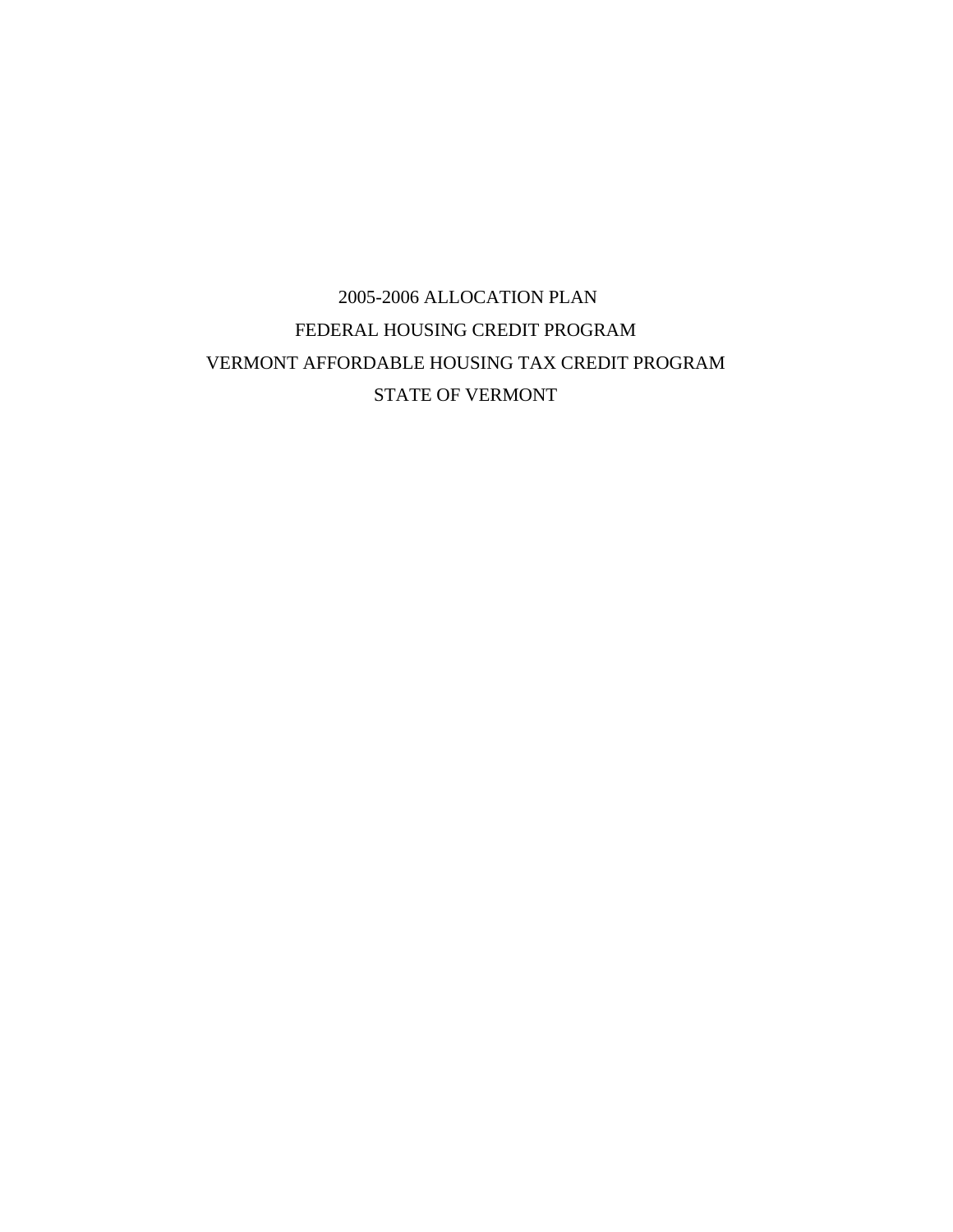# 2005-2006 ALLOCATION PLAN FEDERAL HOUSING CREDIT PROGRAM VERMONT AFFORDABLE HOUSING TAX CREDIT PROGRAM STATE OF VERMONT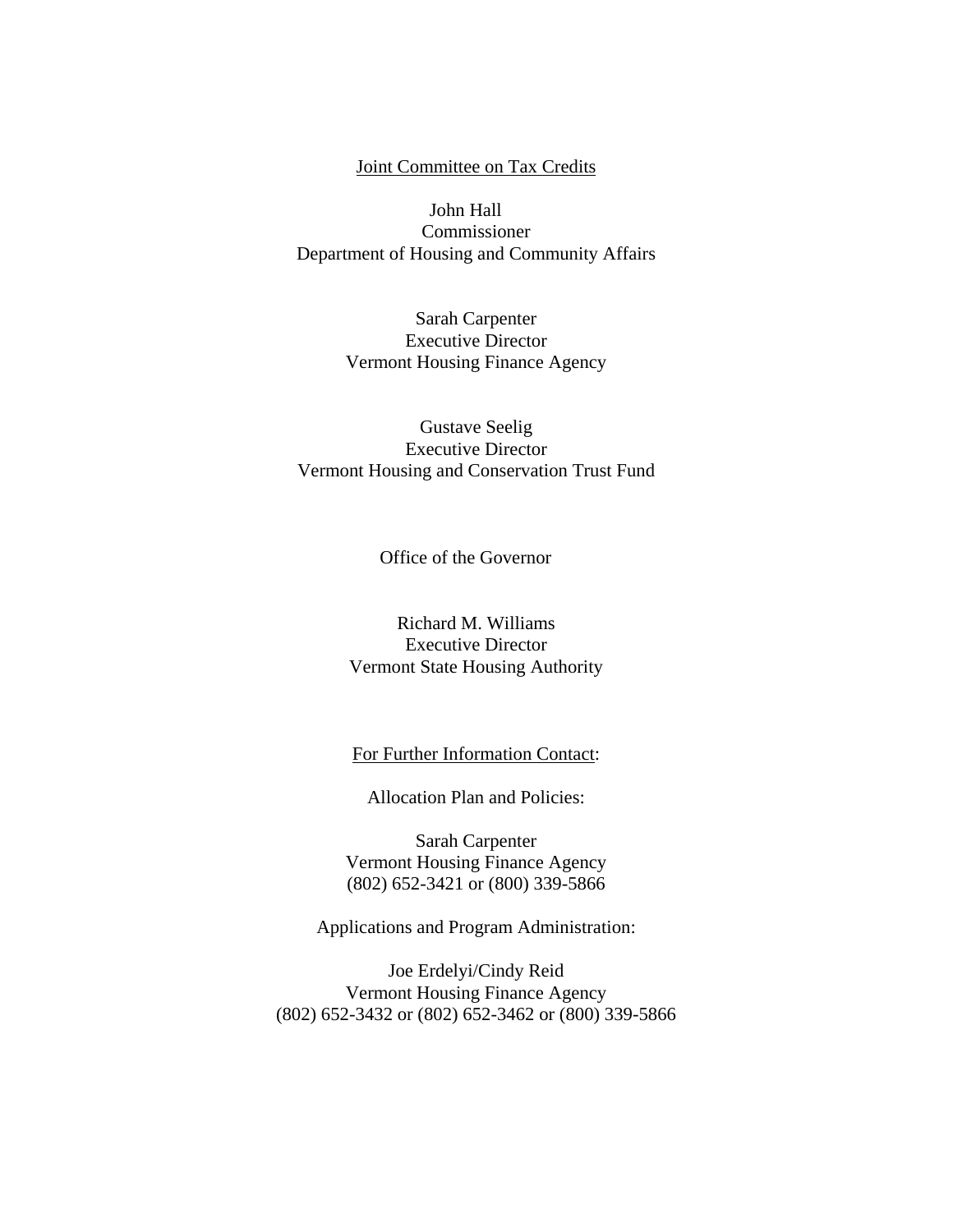#### Joint Committee on Tax Credits

John Hall Commissioner Department of Housing and Community Affairs

> Sarah Carpenter Executive Director Vermont Housing Finance Agency

#### Gustave Seelig Executive Director Vermont Housing and Conservation Trust Fund

Office of the Governor

# Richard M. Williams Executive Director Vermont State Housing Authority

#### For Further Information Contact:

Allocation Plan and Policies:

 Sarah Carpenter Vermont Housing Finance Agency (802) 652-3421 or (800) 339-5866

Applications and Program Administration:

Joe Erdelyi/Cindy Reid Vermont Housing Finance Agency (802) 652-3432 or (802) 652-3462 or (800) 339-5866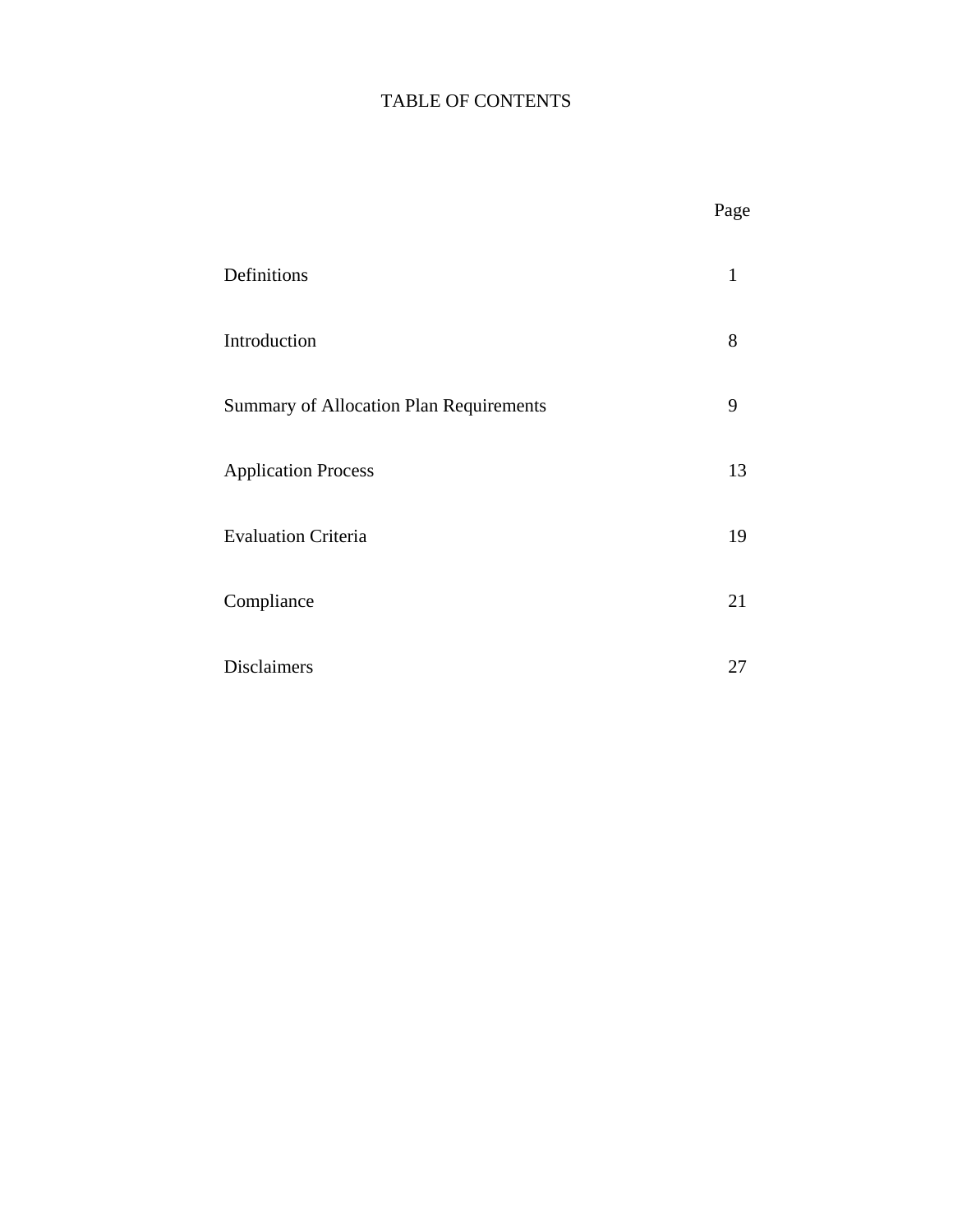# TABLE OF CONTENTS

|                                         | Page |
|-----------------------------------------|------|
| Definitions                             | 1    |
| Introduction                            | 8    |
| Summary of Allocation Plan Requirements | 9    |
| <b>Application Process</b>              | 13   |
| <b>Evaluation Criteria</b>              | 19   |
| Compliance                              | 21   |
| Disclaimers                             | 27   |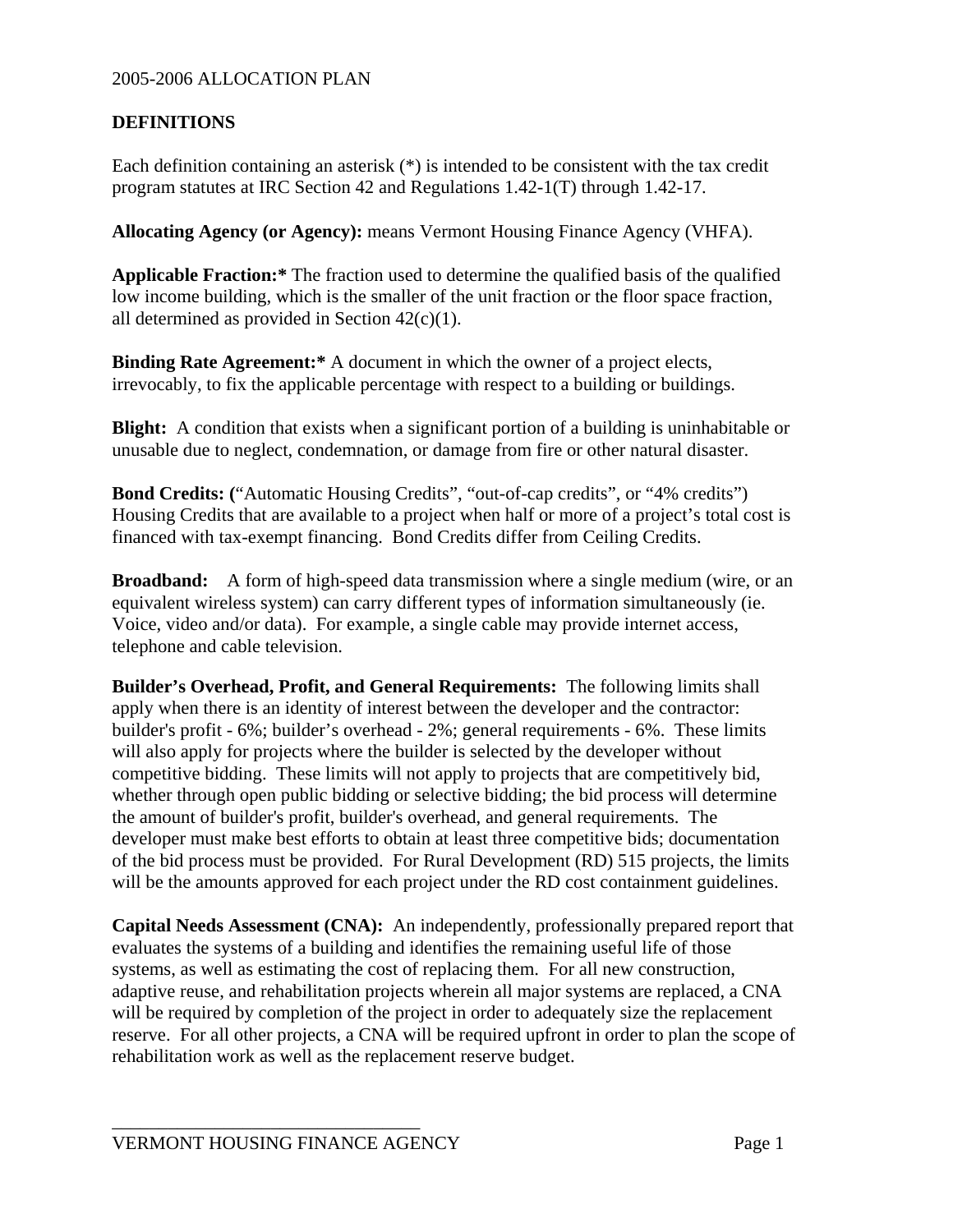### **DEFINITIONS**

Each definition containing an asterisk (\*) is intended to be consistent with the tax credit program statutes at IRC Section 42 and Regulations 1.42-1(T) through 1.42-17.

**Allocating Agency (or Agency):** means Vermont Housing Finance Agency (VHFA).

**Applicable Fraction:\*** The fraction used to determine the qualified basis of the qualified low income building, which is the smaller of the unit fraction or the floor space fraction, all determined as provided in Section 42(c)(1).

**Binding Rate Agreement:\*** A document in which the owner of a project elects, irrevocably, to fix the applicable percentage with respect to a building or buildings.

**Blight:** A condition that exists when a significant portion of a building is uninhabitable or unusable due to neglect, condemnation, or damage from fire or other natural disaster.

**Bond Credits: (**"Automatic Housing Credits", "out-of-cap credits", or "4% credits") Housing Credits that are available to a project when half or more of a project's total cost is financed with tax-exempt financing. Bond Credits differ from Ceiling Credits.

**Broadband:** A form of high-speed data transmission where a single medium (wire, or an equivalent wireless system) can carry different types of information simultaneously (ie. Voice, video and/or data). For example, a single cable may provide internet access, telephone and cable television.

**Builder's Overhead, Profit, and General Requirements:** The following limits shall apply when there is an identity of interest between the developer and the contractor: builder's profit - 6%; builder's overhead - 2%; general requirements - 6%. These limits will also apply for projects where the builder is selected by the developer without competitive bidding. These limits will not apply to projects that are competitively bid, whether through open public bidding or selective bidding; the bid process will determine the amount of builder's profit, builder's overhead, and general requirements. The developer must make best efforts to obtain at least three competitive bids; documentation of the bid process must be provided. For Rural Development (RD) 515 projects, the limits will be the amounts approved for each project under the RD cost containment guidelines.

**Capital Needs Assessment (CNA):** An independently, professionally prepared report that evaluates the systems of a building and identifies the remaining useful life of those systems, as well as estimating the cost of replacing them. For all new construction, adaptive reuse, and rehabilitation projects wherein all major systems are replaced, a CNA will be required by completion of the project in order to adequately size the replacement reserve. For all other projects, a CNA will be required upfront in order to plan the scope of rehabilitation work as well as the replacement reserve budget.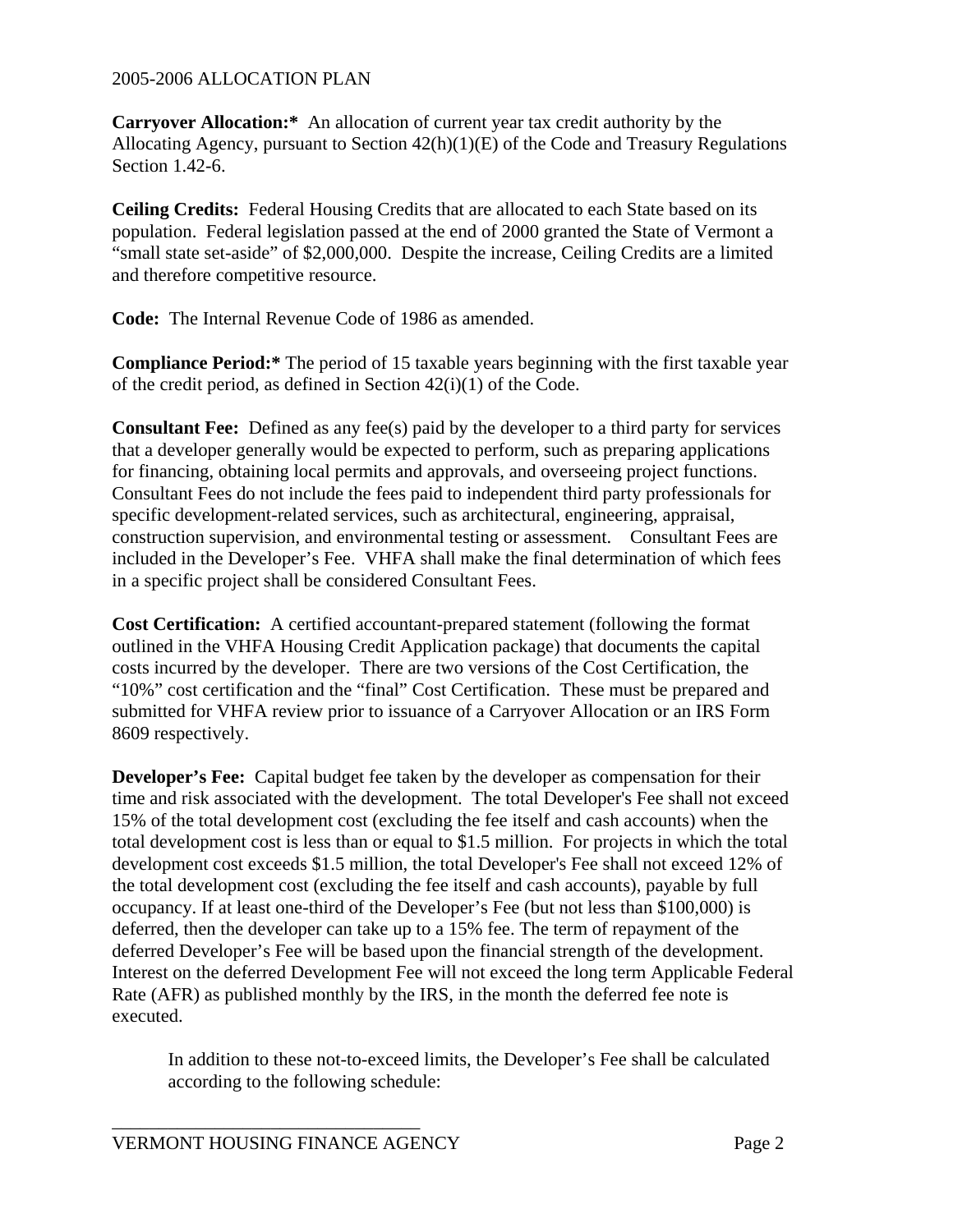**Carryover Allocation:\*** An allocation of current year tax credit authority by the Allocating Agency, pursuant to Section 42(h)(1)(E) of the Code and Treasury Regulations Section 1.42-6.

**Ceiling Credits:** Federal Housing Credits that are allocated to each State based on its population. Federal legislation passed at the end of 2000 granted the State of Vermont a "small state set-aside" of \$2,000,000. Despite the increase, Ceiling Credits are a limited and therefore competitive resource.

**Code:** The Internal Revenue Code of 1986 as amended.

**Compliance Period:\*** The period of 15 taxable years beginning with the first taxable year of the credit period, as defined in Section 42(i)(1) of the Code.

**Consultant Fee:** Defined as any fee(s) paid by the developer to a third party for services that a developer generally would be expected to perform, such as preparing applications for financing, obtaining local permits and approvals, and overseeing project functions. Consultant Fees do not include the fees paid to independent third party professionals for specific development-related services, such as architectural, engineering, appraisal, construction supervision, and environmental testing or assessment. Consultant Fees are included in the Developer's Fee. VHFA shall make the final determination of which fees in a specific project shall be considered Consultant Fees.

**Cost Certification:** A certified accountant-prepared statement (following the format outlined in the VHFA Housing Credit Application package) that documents the capital costs incurred by the developer. There are two versions of the Cost Certification, the "10%" cost certification and the "final" Cost Certification. These must be prepared and submitted for VHFA review prior to issuance of a Carryover Allocation or an IRS Form 8609 respectively.

**Developer's Fee:** Capital budget fee taken by the developer as compensation for their time and risk associated with the development. The total Developer's Fee shall not exceed 15% of the total development cost (excluding the fee itself and cash accounts) when the total development cost is less than or equal to \$1.5 million. For projects in which the total development cost exceeds \$1.5 million, the total Developer's Fee shall not exceed 12% of the total development cost (excluding the fee itself and cash accounts), payable by full occupancy. If at least one-third of the Developer's Fee (but not less than \$100,000) is deferred, then the developer can take up to a 15% fee. The term of repayment of the deferred Developer's Fee will be based upon the financial strength of the development. Interest on the deferred Development Fee will not exceed the long term Applicable Federal Rate (AFR) as published monthly by the IRS, in the month the deferred fee note is executed.

In addition to these not-to-exceed limits, the Developer's Fee shall be calculated according to the following schedule: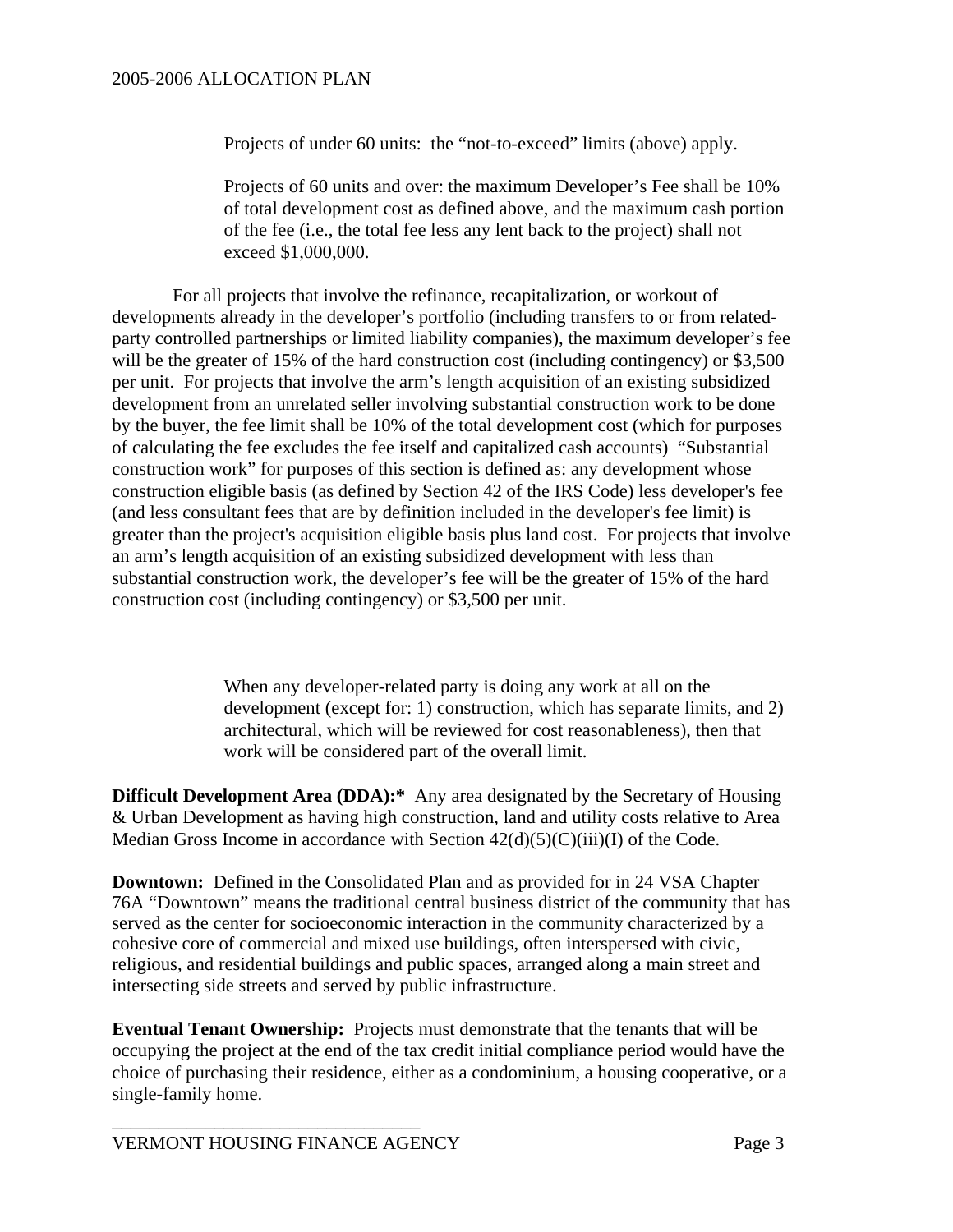Projects of under 60 units: the "not-to-exceed" limits (above) apply.

Projects of 60 units and over: the maximum Developer's Fee shall be 10% of total development cost as defined above, and the maximum cash portion of the fee (i.e., the total fee less any lent back to the project) shall not exceed \$1,000,000.

For all projects that involve the refinance, recapitalization, or workout of developments already in the developer's portfolio (including transfers to or from relatedparty controlled partnerships or limited liability companies), the maximum developer's fee will be the greater of 15% of the hard construction cost (including contingency) or \$3,500 per unit. For projects that involve the arm's length acquisition of an existing subsidized development from an unrelated seller involving substantial construction work to be done by the buyer, the fee limit shall be 10% of the total development cost (which for purposes of calculating the fee excludes the fee itself and capitalized cash accounts) "Substantial construction work" for purposes of this section is defined as: any development whose construction eligible basis (as defined by Section 42 of the IRS Code) less developer's fee (and less consultant fees that are by definition included in the developer's fee limit) is greater than the project's acquisition eligible basis plus land cost. For projects that involve an arm's length acquisition of an existing subsidized development with less than substantial construction work, the developer's fee will be the greater of 15% of the hard construction cost (including contingency) or \$3,500 per unit.

> When any developer-related party is doing any work at all on the development (except for: 1) construction, which has separate limits, and 2) architectural, which will be reviewed for cost reasonableness), then that work will be considered part of the overall limit.

**Difficult Development Area (DDA):\*** Any area designated by the Secretary of Housing & Urban Development as having high construction, land and utility costs relative to Area Median Gross Income in accordance with Section  $42(d)(5)(C)(iii)(I)$  of the Code.

**Downtown:** Defined in the Consolidated Plan and as provided for in 24 VSA Chapter 76A "Downtown" means the traditional central business district of the community that has served as the center for socioeconomic interaction in the community characterized by a cohesive core of commercial and mixed use buildings, often interspersed with civic, religious, and residential buildings and public spaces, arranged along a main street and intersecting side streets and served by public infrastructure.

**Eventual Tenant Ownership:** Projects must demonstrate that the tenants that will be occupying the project at the end of the tax credit initial compliance period would have the choice of purchasing their residence, either as a condominium, a housing cooperative, or a single-family home.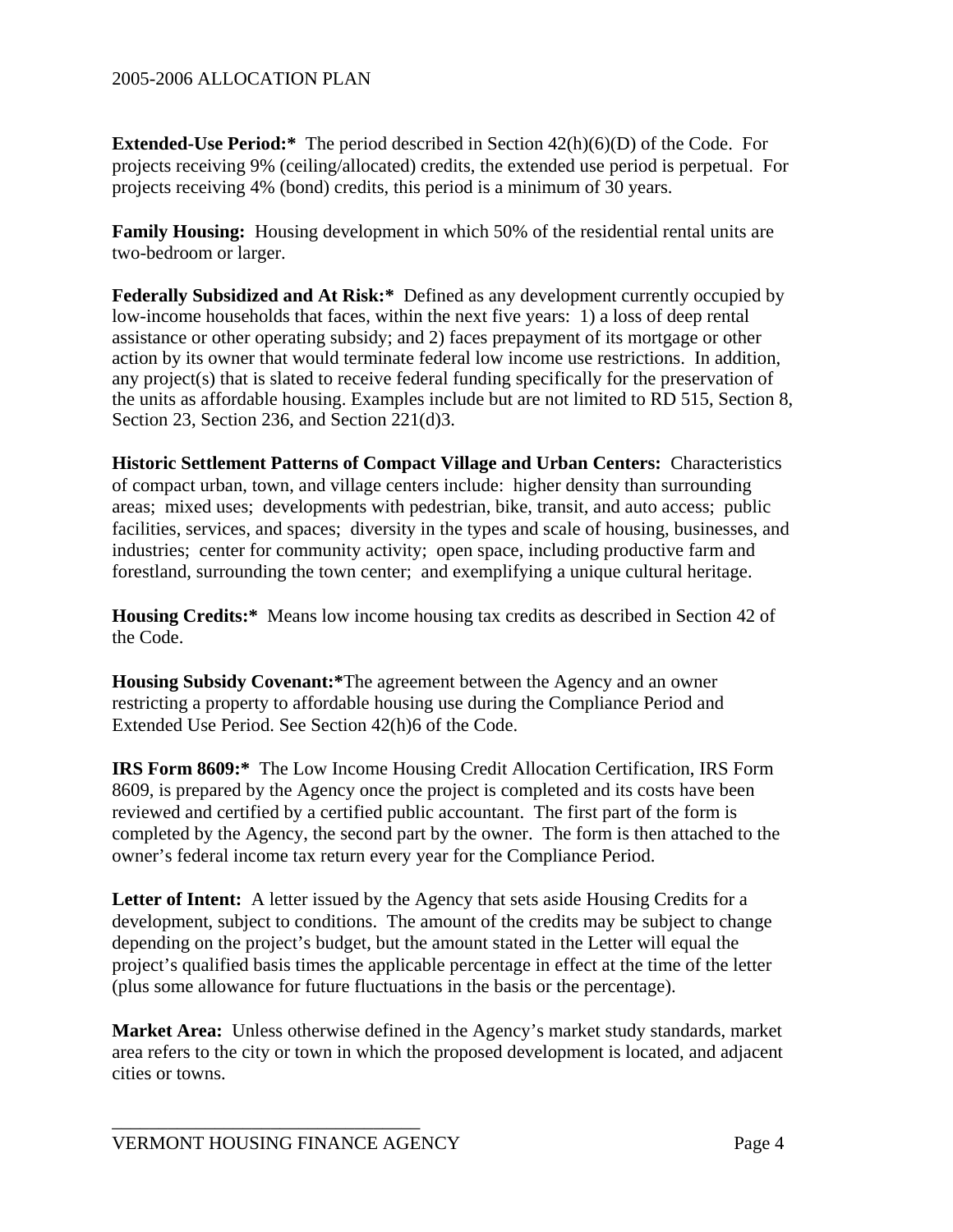**Extended-Use Period:\*** The period described in Section 42(h)(6)(D) of the Code. For projects receiving 9% (ceiling/allocated) credits, the extended use period is perpetual. For projects receiving 4% (bond) credits, this period is a minimum of 30 years.

**Family Housing:** Housing development in which 50% of the residential rental units are two-bedroom or larger.

**Federally Subsidized and At Risk:\*** Defined as any development currently occupied by low-income households that faces, within the next five years: 1) a loss of deep rental assistance or other operating subsidy; and 2) faces prepayment of its mortgage or other action by its owner that would terminate federal low income use restrictions. In addition, any project(s) that is slated to receive federal funding specifically for the preservation of the units as affordable housing. Examples include but are not limited to RD 515, Section 8, Section 23, Section 236, and Section 221(d)3.

**Historic Settlement Patterns of Compact Village and Urban Centers:** Characteristics of compact urban, town, and village centers include: higher density than surrounding areas; mixed uses; developments with pedestrian, bike, transit, and auto access; public facilities, services, and spaces; diversity in the types and scale of housing, businesses, and industries; center for community activity; open space, including productive farm and forestland, surrounding the town center; and exemplifying a unique cultural heritage.

**Housing Credits:\*** Means low income housing tax credits as described in Section 42 of the Code.

**Housing Subsidy Covenant:\***The agreement between the Agency and an owner restricting a property to affordable housing use during the Compliance Period and Extended Use Period. See Section 42(h)6 of the Code.

**IRS Form 8609:\*** The Low Income Housing Credit Allocation Certification, IRS Form 8609, is prepared by the Agency once the project is completed and its costs have been reviewed and certified by a certified public accountant. The first part of the form is completed by the Agency, the second part by the owner. The form is then attached to the owner's federal income tax return every year for the Compliance Period.

Letter of Intent: A letter issued by the Agency that sets aside Housing Credits for a development, subject to conditions. The amount of the credits may be subject to change depending on the project's budget, but the amount stated in the Letter will equal the project's qualified basis times the applicable percentage in effect at the time of the letter (plus some allowance for future fluctuations in the basis or the percentage).

**Market Area:** Unless otherwise defined in the Agency's market study standards, market area refers to the city or town in which the proposed development is located, and adjacent cities or towns.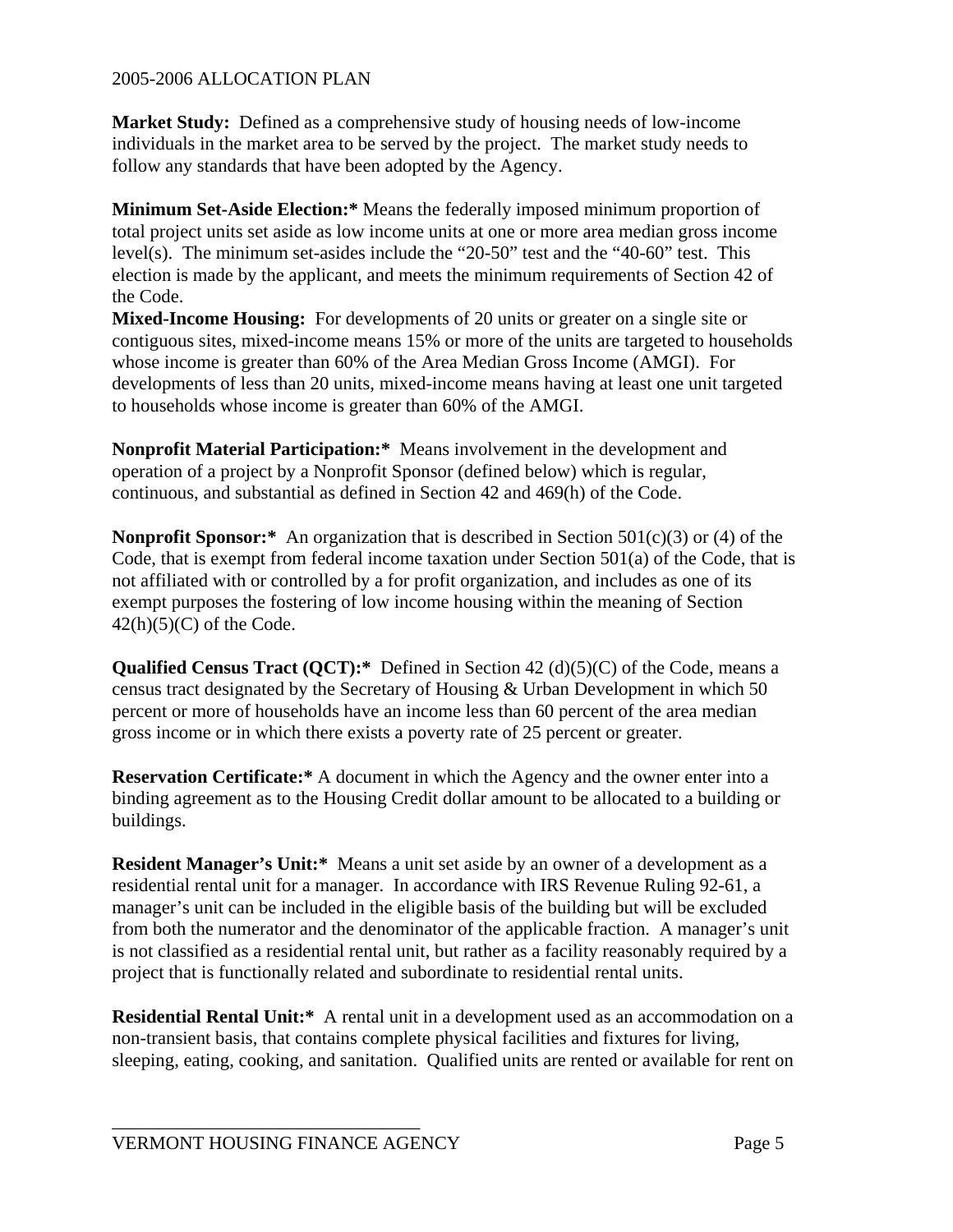**Market Study:** Defined as a comprehensive study of housing needs of low-income individuals in the market area to be served by the project. The market study needs to follow any standards that have been adopted by the Agency.

**Minimum Set-Aside Election:\*** Means the federally imposed minimum proportion of total project units set aside as low income units at one or more area median gross income level(s). The minimum set-asides include the "20-50" test and the "40-60" test. This election is made by the applicant, and meets the minimum requirements of Section 42 of the Code.

**Mixed-Income Housing:** For developments of 20 units or greater on a single site or contiguous sites, mixed-income means 15% or more of the units are targeted to households whose income is greater than 60% of the Area Median Gross Income (AMGI). For developments of less than 20 units, mixed-income means having at least one unit targeted to households whose income is greater than 60% of the AMGI.

**Nonprofit Material Participation:\*** Means involvement in the development and operation of a project by a Nonprofit Sponsor (defined below) which is regular, continuous, and substantial as defined in Section 42 and 469(h) of the Code.

**Nonprofit Sponsor:\*** An organization that is described in Section 501(c)(3) or (4) of the Code, that is exempt from federal income taxation under Section 501(a) of the Code, that is not affiliated with or controlled by a for profit organization, and includes as one of its exempt purposes the fostering of low income housing within the meaning of Section  $42(h)(5)(C)$  of the Code.

**Qualified Census Tract (QCT):\*** Defined in Section 42 (d)(5)(C) of the Code, means a census tract designated by the Secretary of Housing & Urban Development in which 50 percent or more of households have an income less than 60 percent of the area median gross income or in which there exists a poverty rate of 25 percent or greater.

**Reservation Certificate:\*** A document in which the Agency and the owner enter into a binding agreement as to the Housing Credit dollar amount to be allocated to a building or buildings.

**Resident Manager's Unit:\*** Means a unit set aside by an owner of a development as a residential rental unit for a manager. In accordance with IRS Revenue Ruling 92-61, a manager's unit can be included in the eligible basis of the building but will be excluded from both the numerator and the denominator of the applicable fraction. A manager's unit is not classified as a residential rental unit, but rather as a facility reasonably required by a project that is functionally related and subordinate to residential rental units.

**Residential Rental Unit:\*** A rental unit in a development used as an accommodation on a non-transient basis, that contains complete physical facilities and fixtures for living, sleeping, eating, cooking, and sanitation. Qualified units are rented or available for rent on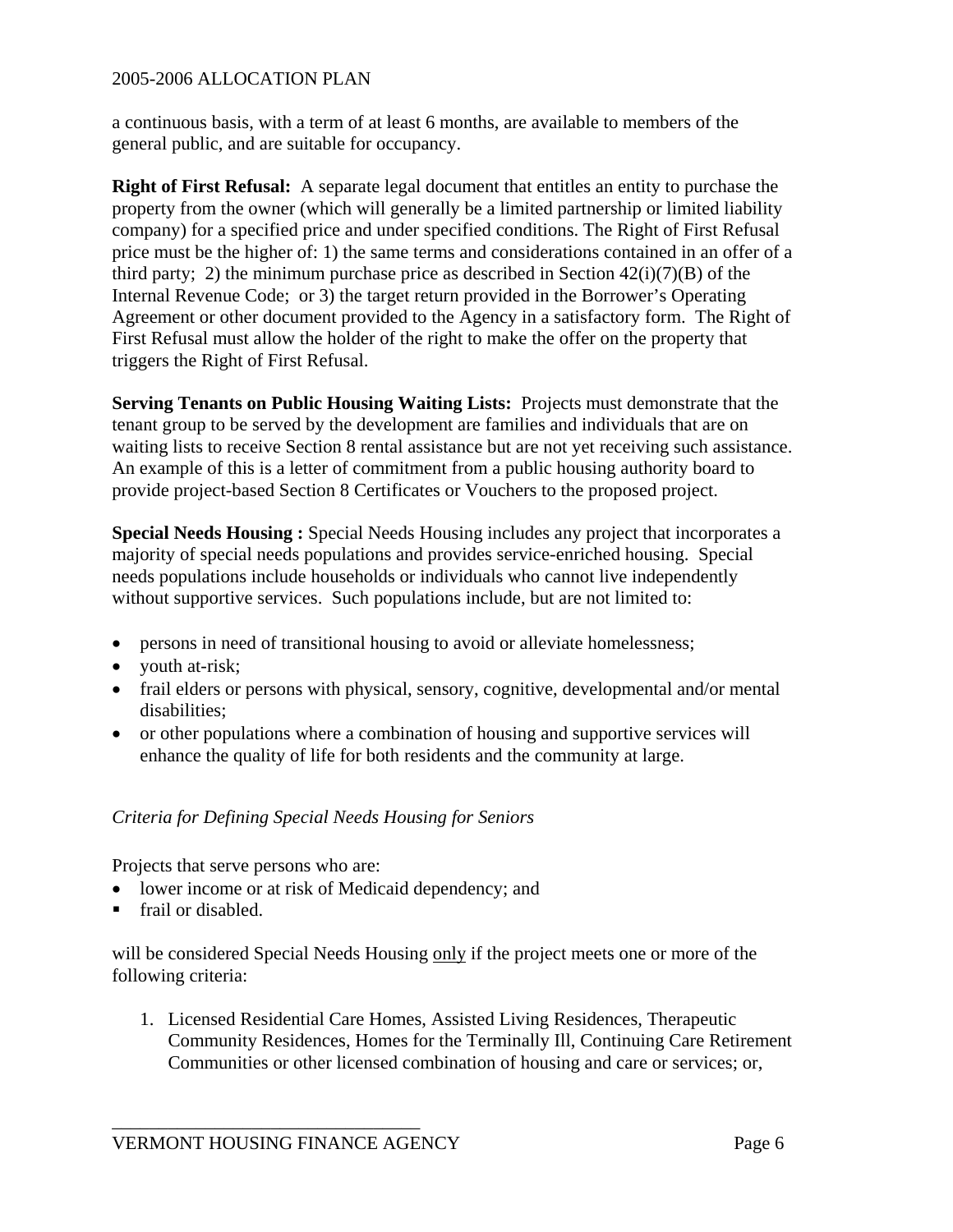a continuous basis, with a term of at least 6 months, are available to members of the general public, and are suitable for occupancy.

**Right of First Refusal:** A separate legal document that entitles an entity to purchase the property from the owner (which will generally be a limited partnership or limited liability company) for a specified price and under specified conditions. The Right of First Refusal price must be the higher of: 1) the same terms and considerations contained in an offer of a third party; 2) the minimum purchase price as described in Section  $42(i)(7)(B)$  of the Internal Revenue Code; or 3) the target return provided in the Borrower's Operating Agreement or other document provided to the Agency in a satisfactory form. The Right of First Refusal must allow the holder of the right to make the offer on the property that triggers the Right of First Refusal.

**Serving Tenants on Public Housing Waiting Lists:** Projects must demonstrate that the tenant group to be served by the development are families and individuals that are on waiting lists to receive Section 8 rental assistance but are not yet receiving such assistance. An example of this is a letter of commitment from a public housing authority board to provide project-based Section 8 Certificates or Vouchers to the proposed project.

**Special Needs Housing :** Special Needs Housing includes any project that incorporates a majority of special needs populations and provides service-enriched housing. Special needs populations include households or individuals who cannot live independently without supportive services. Such populations include, but are not limited to:

- persons in need of transitional housing to avoid or alleviate homelessness;
- youth at-risk;
- frail elders or persons with physical, sensory, cognitive, developmental and/or mental disabilities;
- or other populations where a combination of housing and supportive services will enhance the quality of life for both residents and the community at large.

#### *Criteria for Defining Special Needs Housing for Seniors*

Projects that serve persons who are:

- lower income or at risk of Medicaid dependency; and
- frail or disabled.

will be considered Special Needs Housing only if the project meets one or more of the following criteria:

1. Licensed Residential Care Homes, Assisted Living Residences, Therapeutic Community Residences, Homes for the Terminally Ill, Continuing Care Retirement Communities or other licensed combination of housing and care or services; or,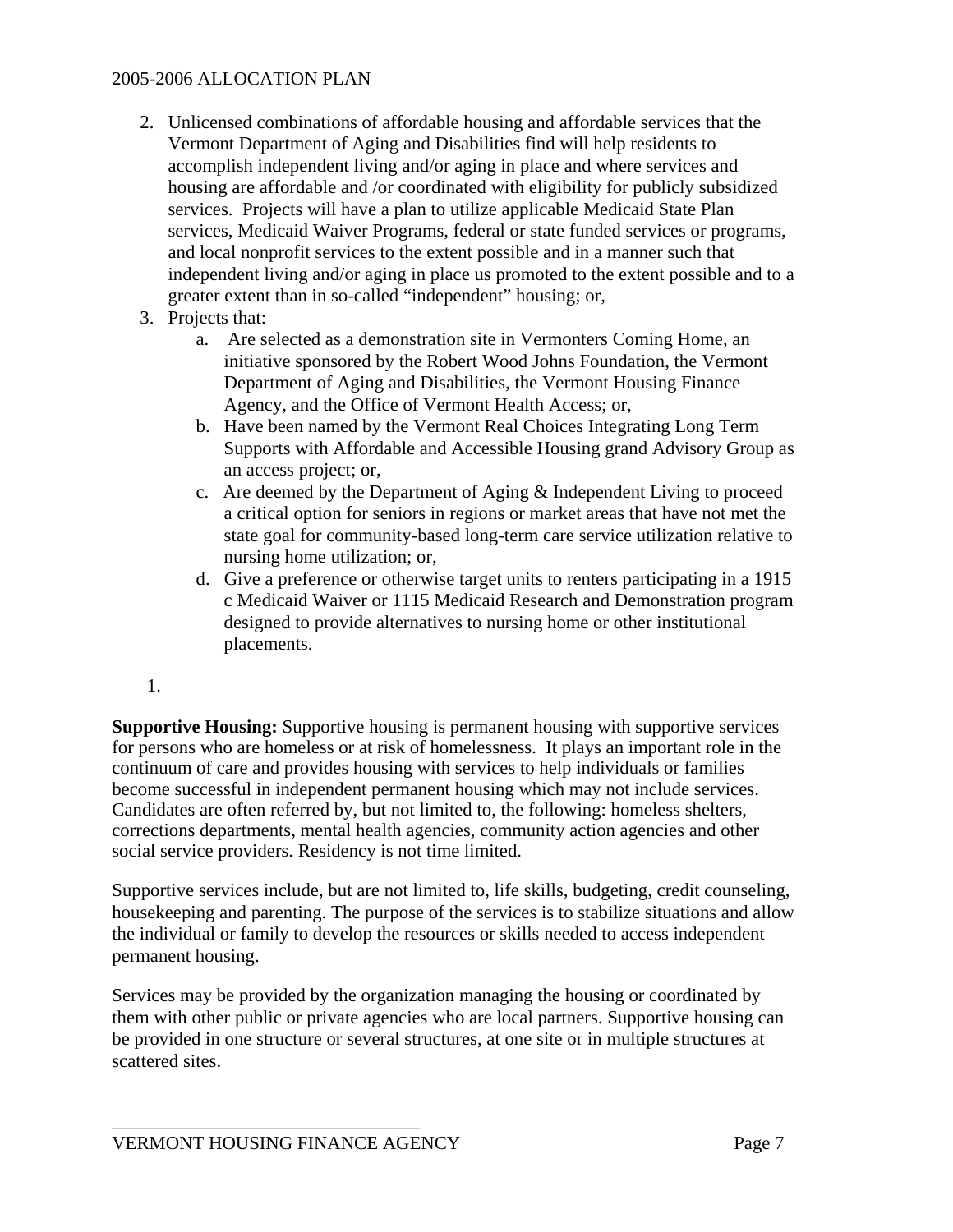- 2. Unlicensed combinations of affordable housing and affordable services that the Vermont Department of Aging and Disabilities find will help residents to accomplish independent living and/or aging in place and where services and housing are affordable and /or coordinated with eligibility for publicly subsidized services. Projects will have a plan to utilize applicable Medicaid State Plan services, Medicaid Waiver Programs, federal or state funded services or programs, and local nonprofit services to the extent possible and in a manner such that independent living and/or aging in place us promoted to the extent possible and to a greater extent than in so-called "independent" housing; or,
- 3. Projects that:
	- a. Are selected as a demonstration site in Vermonters Coming Home, an initiative sponsored by the Robert Wood Johns Foundation, the Vermont Department of Aging and Disabilities, the Vermont Housing Finance Agency, and the Office of Vermont Health Access; or,
	- b. Have been named by the Vermont Real Choices Integrating Long Term Supports with Affordable and Accessible Housing grand Advisory Group as an access project; or,
	- c. Are deemed by the Department of Aging & Independent Living to proceed a critical option for seniors in regions or market areas that have not met the state goal for community-based long-term care service utilization relative to nursing home utilization; or,
	- d. Give a preference or otherwise target units to renters participating in a 1915 c Medicaid Waiver or 1115 Medicaid Research and Demonstration program designed to provide alternatives to nursing home or other institutional placements.
- 1.

**Supportive Housing:** Supportive housing is permanent housing with supportive services for persons who are homeless or at risk of homelessness. It plays an important role in the continuum of care and provides housing with services to help individuals or families become successful in independent permanent housing which may not include services. Candidates are often referred by, but not limited to, the following: homeless shelters, corrections departments, mental health agencies, community action agencies and other social service providers. Residency is not time limited.

Supportive services include, but are not limited to, life skills, budgeting, credit counseling, housekeeping and parenting. The purpose of the services is to stabilize situations and allow the individual or family to develop the resources or skills needed to access independent permanent housing.

Services may be provided by the organization managing the housing or coordinated by them with other public or private agencies who are local partners. Supportive housing can be provided in one structure or several structures, at one site or in multiple structures at scattered sites.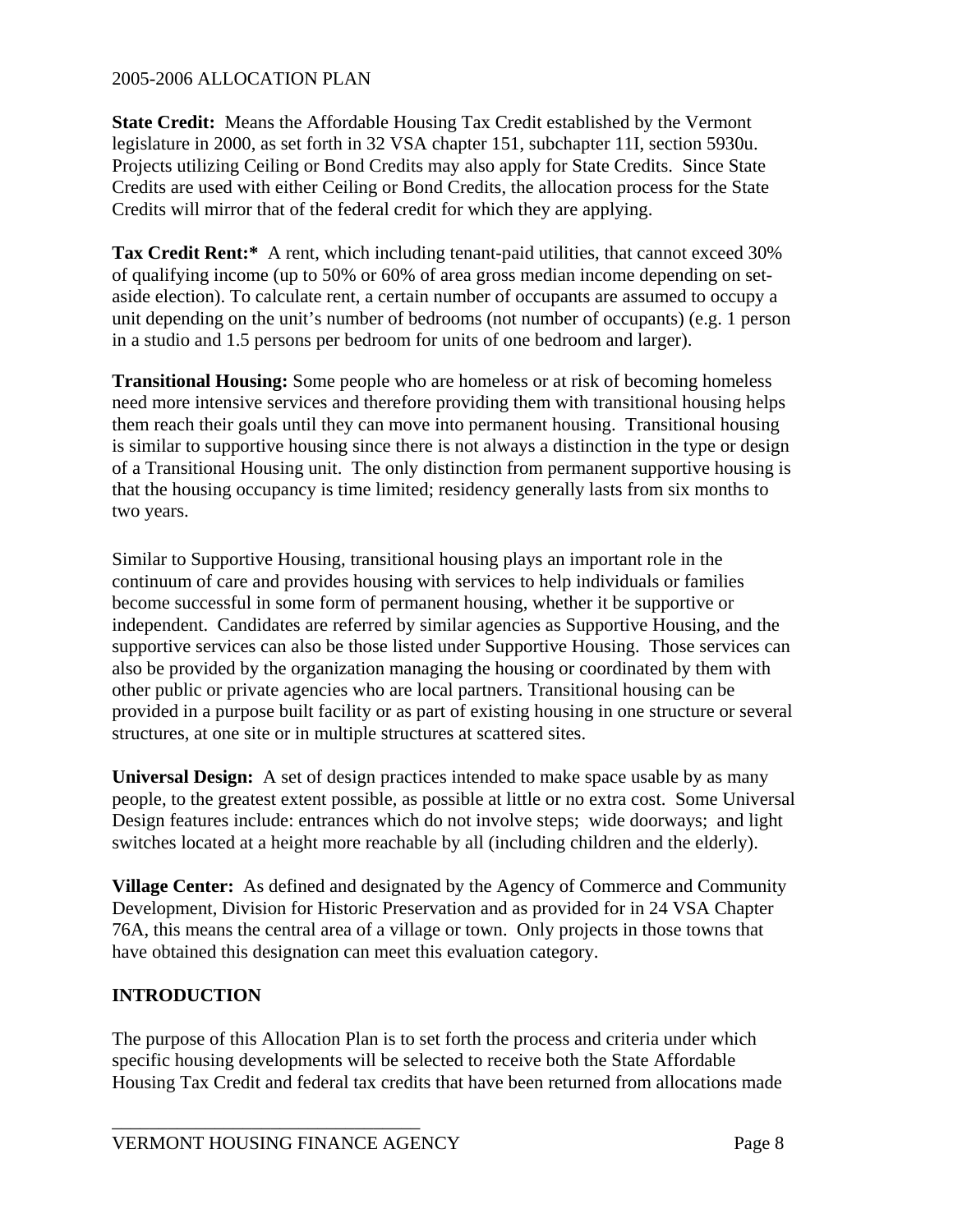**State Credit:** Means the Affordable Housing Tax Credit established by the Vermont legislature in 2000, as set forth in 32 VSA chapter 151, subchapter 11I, section 5930u. Projects utilizing Ceiling or Bond Credits may also apply for State Credits. Since State Credits are used with either Ceiling or Bond Credits, the allocation process for the State Credits will mirror that of the federal credit for which they are applying.

**Tax Credit Rent:\*** A rent, which including tenant-paid utilities, that cannot exceed 30% of qualifying income (up to 50% or 60% of area gross median income depending on setaside election). To calculate rent, a certain number of occupants are assumed to occupy a unit depending on the unit's number of bedrooms (not number of occupants) (e.g. 1 person in a studio and 1.5 persons per bedroom for units of one bedroom and larger).

**Transitional Housing:** Some people who are homeless or at risk of becoming homeless need more intensive services and therefore providing them with transitional housing helps them reach their goals until they can move into permanent housing. Transitional housing is similar to supportive housing since there is not always a distinction in the type or design of a Transitional Housing unit. The only distinction from permanent supportive housing is that the housing occupancy is time limited; residency generally lasts from six months to two years.

Similar to Supportive Housing, transitional housing plays an important role in the continuum of care and provides housing with services to help individuals or families become successful in some form of permanent housing, whether it be supportive or independent. Candidates are referred by similar agencies as Supportive Housing, and the supportive services can also be those listed under Supportive Housing. Those services can also be provided by the organization managing the housing or coordinated by them with other public or private agencies who are local partners. Transitional housing can be provided in a purpose built facility or as part of existing housing in one structure or several structures, at one site or in multiple structures at scattered sites.

**Universal Design:** A set of design practices intended to make space usable by as many people, to the greatest extent possible, as possible at little or no extra cost. Some Universal Design features include: entrances which do not involve steps; wide doorways; and light switches located at a height more reachable by all (including children and the elderly).

**Village Center:** As defined and designated by the Agency of Commerce and Community Development, Division for Historic Preservation and as provided for in 24 VSA Chapter 76A, this means the central area of a village or town. Only projects in those towns that have obtained this designation can meet this evaluation category.

# **INTRODUCTION**

The purpose of this Allocation Plan is to set forth the process and criteria under which specific housing developments will be selected to receive both the State Affordable Housing Tax Credit and federal tax credits that have been returned from allocations made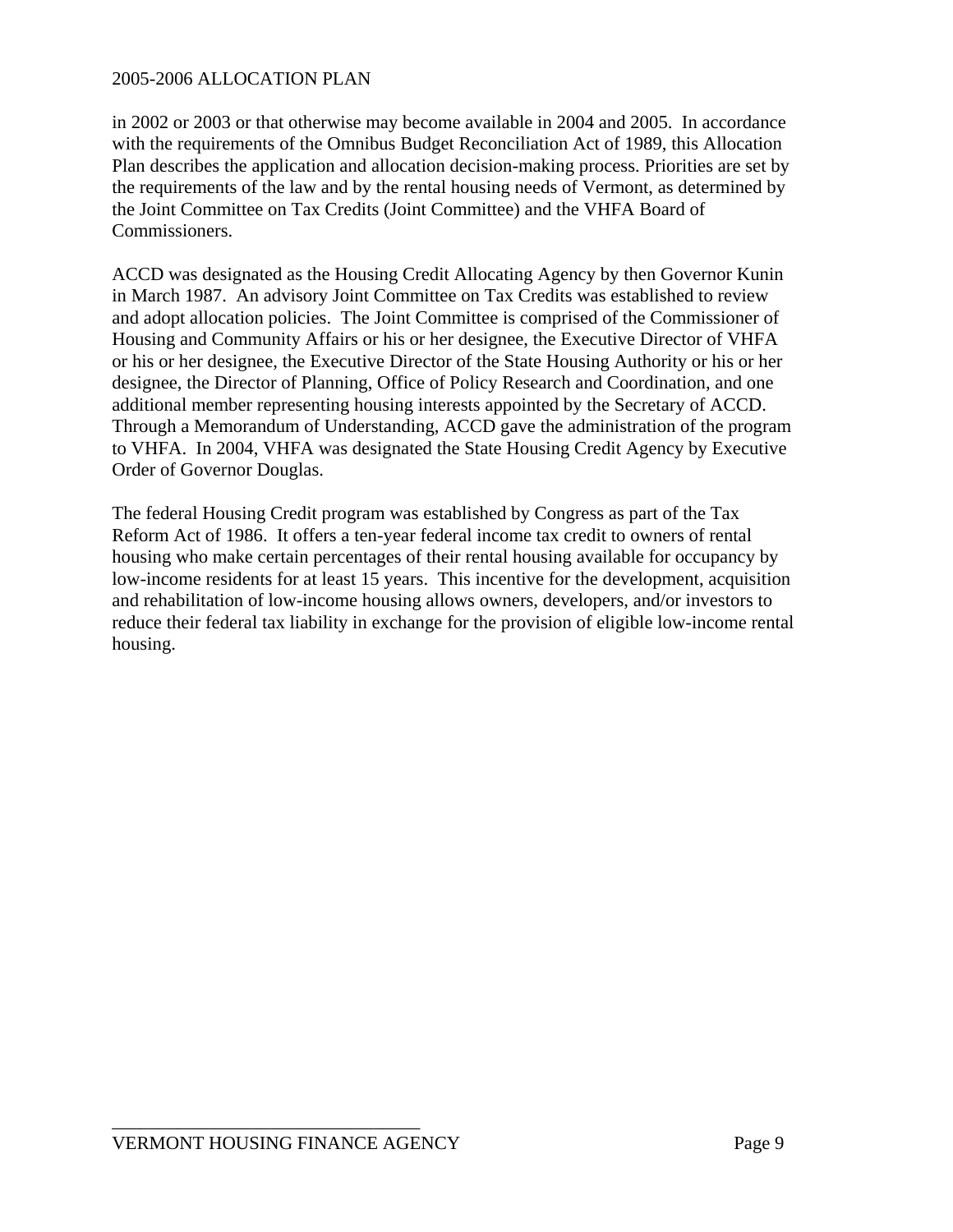in 2002 or 2003 or that otherwise may become available in 2004 and 2005. In accordance with the requirements of the Omnibus Budget Reconciliation Act of 1989, this Allocation Plan describes the application and allocation decision-making process. Priorities are set by the requirements of the law and by the rental housing needs of Vermont, as determined by the Joint Committee on Tax Credits (Joint Committee) and the VHFA Board of Commissioners.

ACCD was designated as the Housing Credit Allocating Agency by then Governor Kunin in March 1987. An advisory Joint Committee on Tax Credits was established to review and adopt allocation policies. The Joint Committee is comprised of the Commissioner of Housing and Community Affairs or his or her designee, the Executive Director of VHFA or his or her designee, the Executive Director of the State Housing Authority or his or her designee, the Director of Planning, Office of Policy Research and Coordination, and one additional member representing housing interests appointed by the Secretary of ACCD. Through a Memorandum of Understanding, ACCD gave the administration of the program to VHFA. In 2004, VHFA was designated the State Housing Credit Agency by Executive Order of Governor Douglas.

The federal Housing Credit program was established by Congress as part of the Tax Reform Act of 1986. It offers a ten-year federal income tax credit to owners of rental housing who make certain percentages of their rental housing available for occupancy by low-income residents for at least 15 years. This incentive for the development, acquisition and rehabilitation of low-income housing allows owners, developers, and/or investors to reduce their federal tax liability in exchange for the provision of eligible low-income rental housing.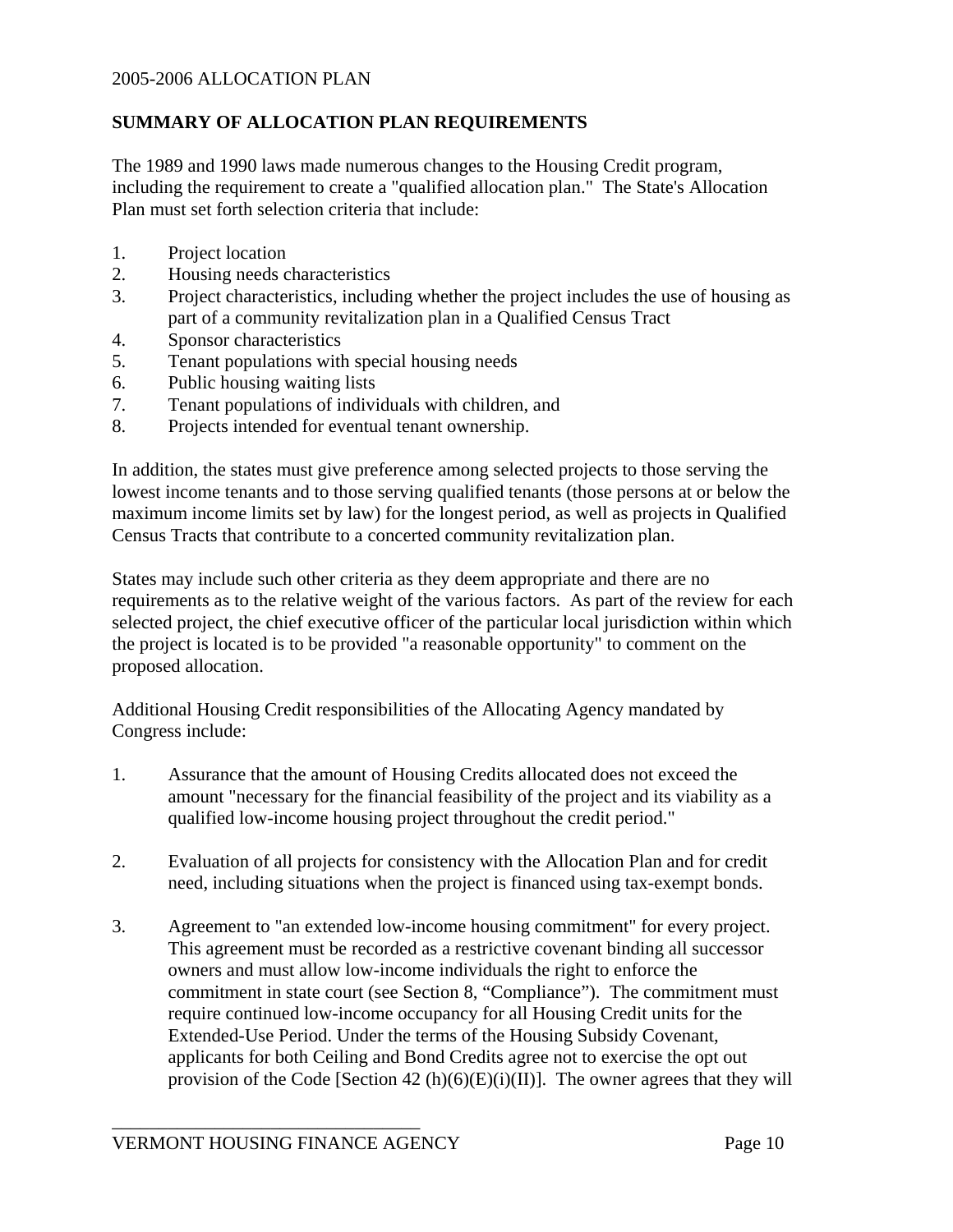# **SUMMARY OF ALLOCATION PLAN REQUIREMENTS**

The 1989 and 1990 laws made numerous changes to the Housing Credit program, including the requirement to create a "qualified allocation plan." The State's Allocation Plan must set forth selection criteria that include:

- 1. Project location
- 2. Housing needs characteristics
- 3. Project characteristics, including whether the project includes the use of housing as part of a community revitalization plan in a Qualified Census Tract
- 4. Sponsor characteristics
- 5. Tenant populations with special housing needs
- 6. Public housing waiting lists
- 7. Tenant populations of individuals with children, and
- 8. Projects intended for eventual tenant ownership.

In addition, the states must give preference among selected projects to those serving the lowest income tenants and to those serving qualified tenants (those persons at or below the maximum income limits set by law) for the longest period, as well as projects in Qualified Census Tracts that contribute to a concerted community revitalization plan.

States may include such other criteria as they deem appropriate and there are no requirements as to the relative weight of the various factors. As part of the review for each selected project, the chief executive officer of the particular local jurisdiction within which the project is located is to be provided "a reasonable opportunity" to comment on the proposed allocation.

Additional Housing Credit responsibilities of the Allocating Agency mandated by Congress include:

- 1. Assurance that the amount of Housing Credits allocated does not exceed the amount "necessary for the financial feasibility of the project and its viability as a qualified low-income housing project throughout the credit period."
- 2. Evaluation of all projects for consistency with the Allocation Plan and for credit need, including situations when the project is financed using tax-exempt bonds.
- 3. Agreement to "an extended low-income housing commitment" for every project. This agreement must be recorded as a restrictive covenant binding all successor owners and must allow low-income individuals the right to enforce the commitment in state court (see Section 8, "Compliance"). The commitment must require continued low-income occupancy for all Housing Credit units for the Extended-Use Period. Under the terms of the Housing Subsidy Covenant, applicants for both Ceiling and Bond Credits agree not to exercise the opt out provision of the Code [Section 42 (h)(6)(E)(i)(II)]. The owner agrees that they will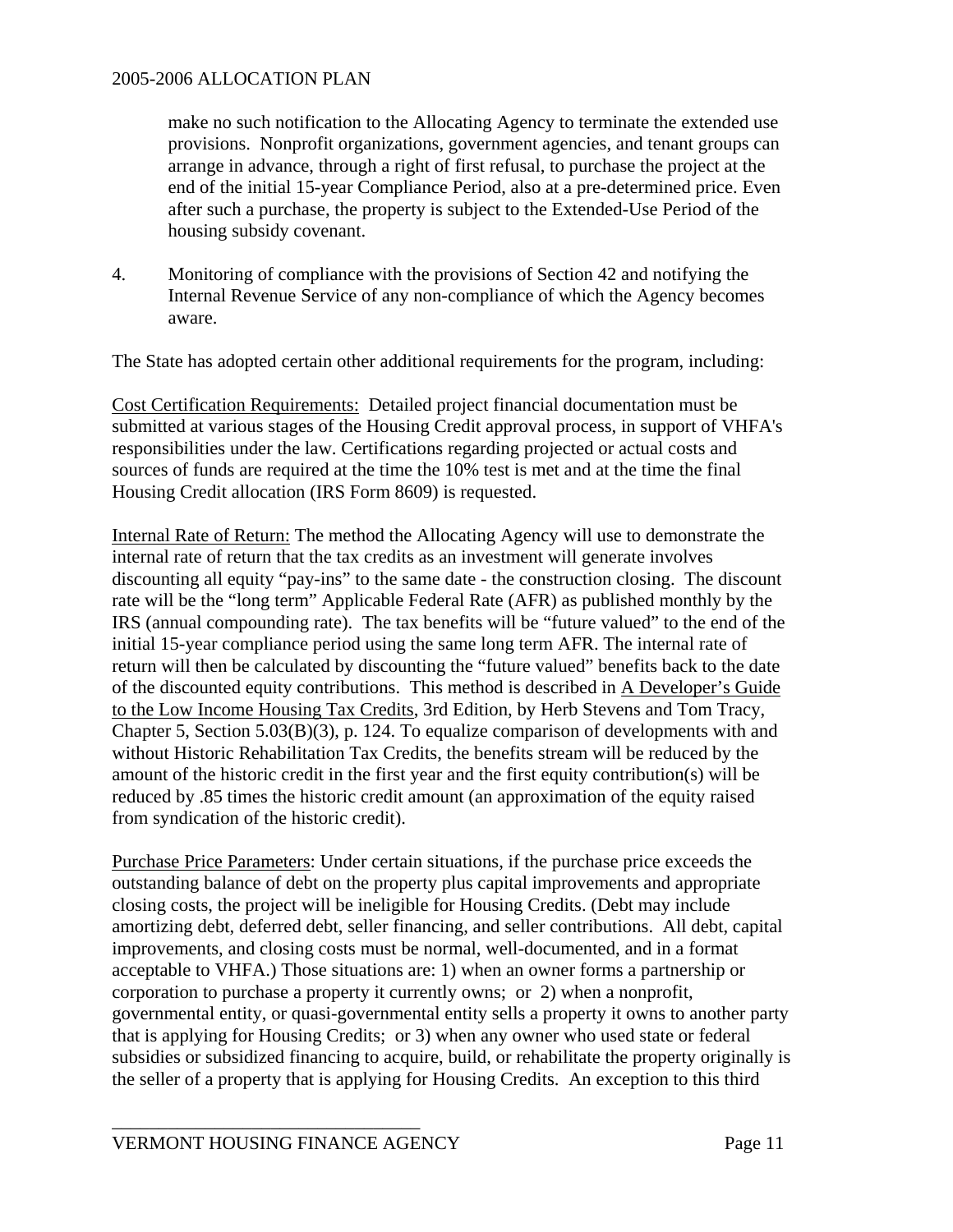make no such notification to the Allocating Agency to terminate the extended use provisions. Nonprofit organizations, government agencies, and tenant groups can arrange in advance, through a right of first refusal, to purchase the project at the end of the initial 15-year Compliance Period, also at a pre-determined price. Even after such a purchase, the property is subject to the Extended-Use Period of the housing subsidy covenant.

4. Monitoring of compliance with the provisions of Section 42 and notifying the Internal Revenue Service of any non-compliance of which the Agency becomes aware.

The State has adopted certain other additional requirements for the program, including:

Cost Certification Requirements: Detailed project financial documentation must be submitted at various stages of the Housing Credit approval process, in support of VHFA's responsibilities under the law. Certifications regarding projected or actual costs and sources of funds are required at the time the 10% test is met and at the time the final Housing Credit allocation (IRS Form 8609) is requested.

Internal Rate of Return: The method the Allocating Agency will use to demonstrate the internal rate of return that the tax credits as an investment will generate involves discounting all equity "pay-ins" to the same date - the construction closing. The discount rate will be the "long term" Applicable Federal Rate (AFR) as published monthly by the IRS (annual compounding rate). The tax benefits will be "future valued" to the end of the initial 15-year compliance period using the same long term AFR. The internal rate of return will then be calculated by discounting the "future valued" benefits back to the date of the discounted equity contributions. This method is described in A Developer's Guide to the Low Income Housing Tax Credits, 3rd Edition, by Herb Stevens and Tom Tracy, Chapter 5, Section 5.03(B)(3), p. 124. To equalize comparison of developments with and without Historic Rehabilitation Tax Credits, the benefits stream will be reduced by the amount of the historic credit in the first year and the first equity contribution(s) will be reduced by .85 times the historic credit amount (an approximation of the equity raised from syndication of the historic credit).

Purchase Price Parameters: Under certain situations, if the purchase price exceeds the outstanding balance of debt on the property plus capital improvements and appropriate closing costs, the project will be ineligible for Housing Credits. (Debt may include amortizing debt, deferred debt, seller financing, and seller contributions. All debt, capital improvements, and closing costs must be normal, well-documented, and in a format acceptable to VHFA.) Those situations are: 1) when an owner forms a partnership or corporation to purchase a property it currently owns; or 2) when a nonprofit, governmental entity, or quasi-governmental entity sells a property it owns to another party that is applying for Housing Credits; or 3) when any owner who used state or federal subsidies or subsidized financing to acquire, build, or rehabilitate the property originally is the seller of a property that is applying for Housing Credits. An exception to this third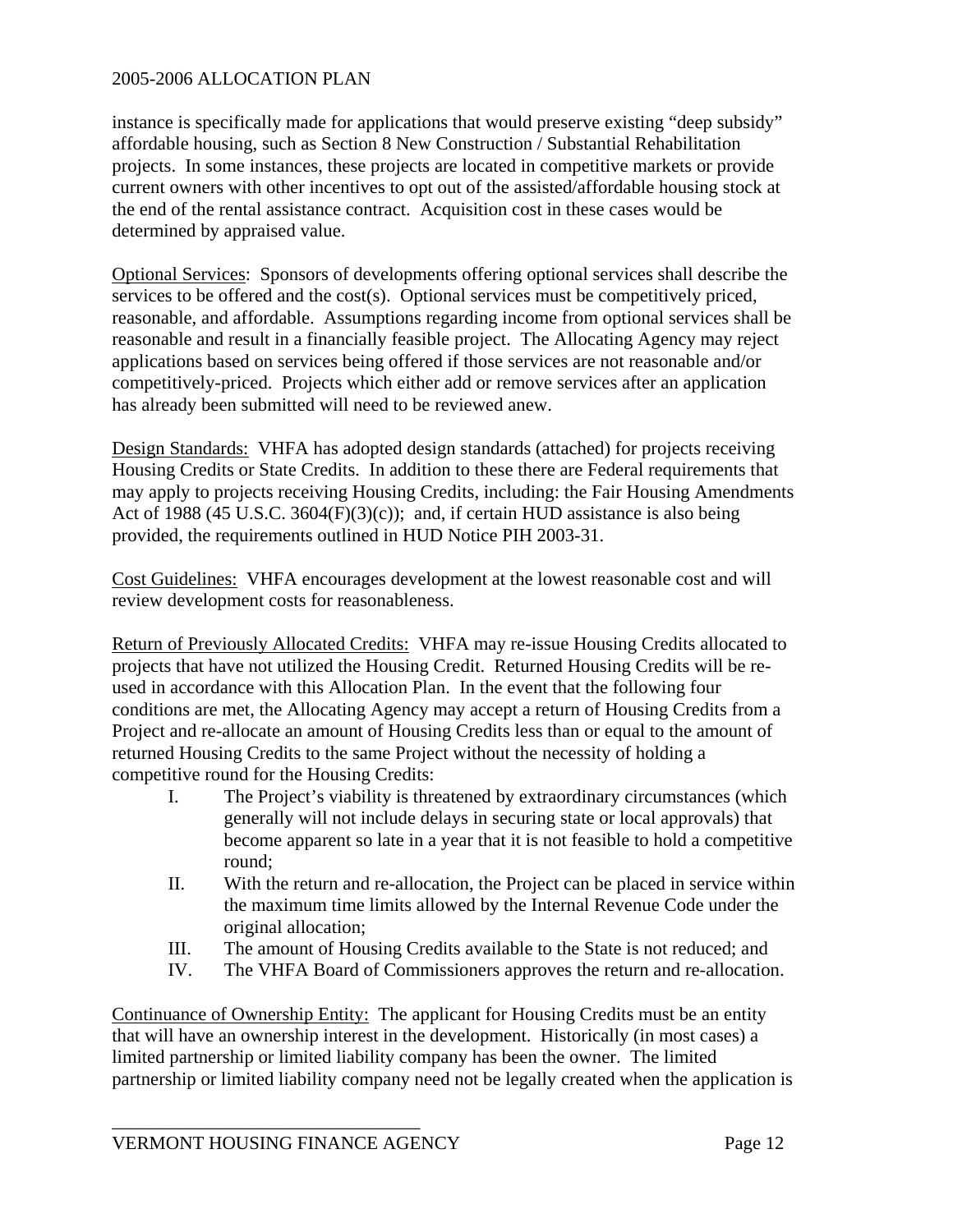instance is specifically made for applications that would preserve existing "deep subsidy" affordable housing, such as Section 8 New Construction / Substantial Rehabilitation projects. In some instances, these projects are located in competitive markets or provide current owners with other incentives to opt out of the assisted/affordable housing stock at the end of the rental assistance contract. Acquisition cost in these cases would be determined by appraised value.

Optional Services: Sponsors of developments offering optional services shall describe the services to be offered and the cost(s). Optional services must be competitively priced, reasonable, and affordable. Assumptions regarding income from optional services shall be reasonable and result in a financially feasible project. The Allocating Agency may reject applications based on services being offered if those services are not reasonable and/or competitively-priced. Projects which either add or remove services after an application has already been submitted will need to be reviewed anew.

Design Standards: VHFA has adopted design standards (attached) for projects receiving Housing Credits or State Credits. In addition to these there are Federal requirements that may apply to projects receiving Housing Credits, including: the Fair Housing Amendments Act of 1988 (45 U.S.C. 3604 $(F)(3)(c)$ ); and, if certain HUD assistance is also being provided, the requirements outlined in HUD Notice PIH 2003-31.

Cost Guidelines: VHFA encourages development at the lowest reasonable cost and will review development costs for reasonableness.

Return of Previously Allocated Credits: VHFA may re-issue Housing Credits allocated to projects that have not utilized the Housing Credit. Returned Housing Credits will be reused in accordance with this Allocation Plan. In the event that the following four conditions are met, the Allocating Agency may accept a return of Housing Credits from a Project and re-allocate an amount of Housing Credits less than or equal to the amount of returned Housing Credits to the same Project without the necessity of holding a competitive round for the Housing Credits:

- I. The Project's viability is threatened by extraordinary circumstances (which generally will not include delays in securing state or local approvals) that become apparent so late in a year that it is not feasible to hold a competitive round;
- II. With the return and re-allocation, the Project can be placed in service within the maximum time limits allowed by the Internal Revenue Code under the original allocation;
- III. The amount of Housing Credits available to the State is not reduced; and
- IV. The VHFA Board of Commissioners approves the return and re-allocation.

Continuance of Ownership Entity: The applicant for Housing Credits must be an entity that will have an ownership interest in the development. Historically (in most cases) a limited partnership or limited liability company has been the owner. The limited partnership or limited liability company need not be legally created when the application is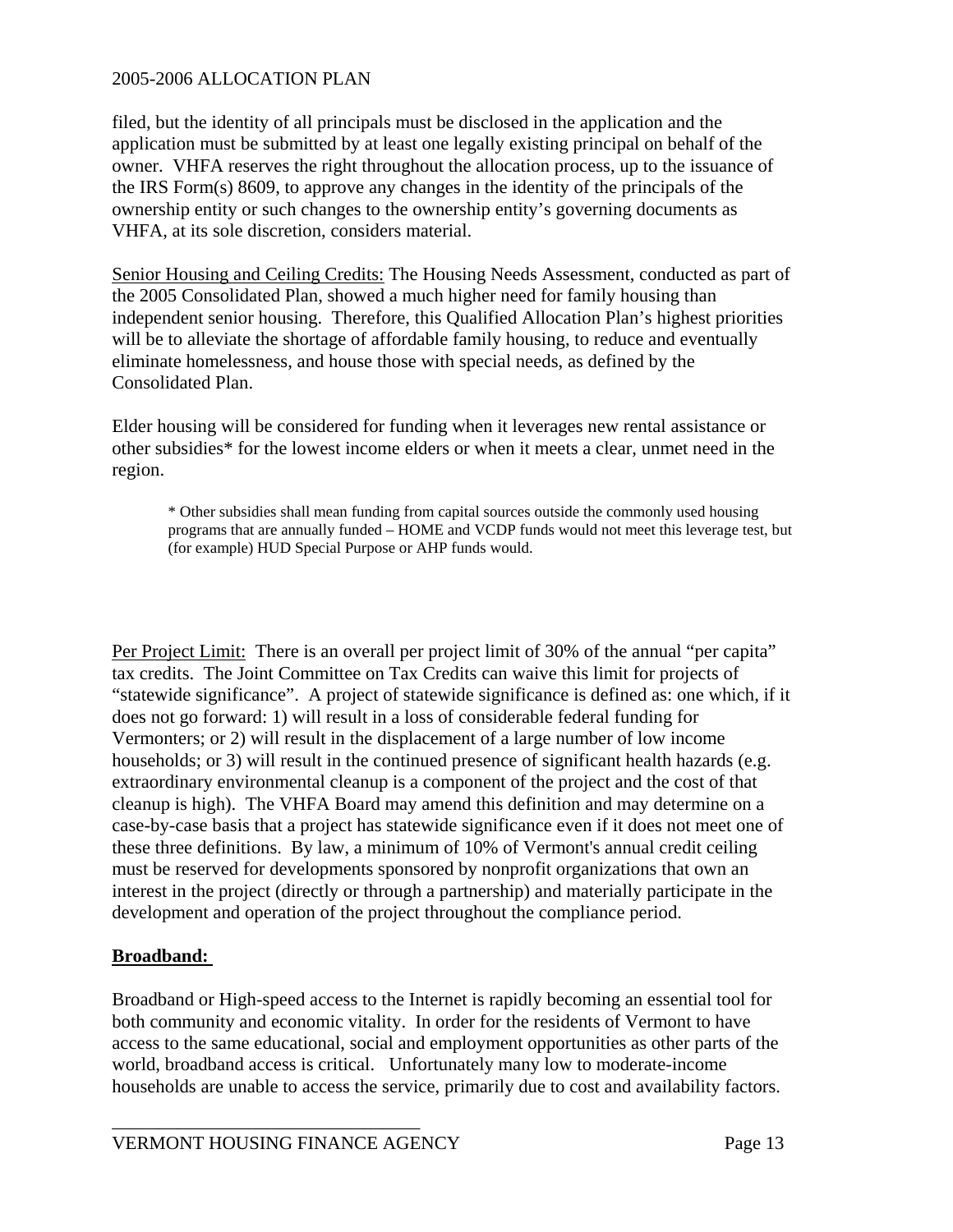filed, but the identity of all principals must be disclosed in the application and the application must be submitted by at least one legally existing principal on behalf of the owner. VHFA reserves the right throughout the allocation process, up to the issuance of the IRS Form(s) 8609, to approve any changes in the identity of the principals of the ownership entity or such changes to the ownership entity's governing documents as VHFA, at its sole discretion, considers material.

Senior Housing and Ceiling Credits: The Housing Needs Assessment, conducted as part of the 2005 Consolidated Plan, showed a much higher need for family housing than independent senior housing. Therefore, this Qualified Allocation Plan's highest priorities will be to alleviate the shortage of affordable family housing, to reduce and eventually eliminate homelessness, and house those with special needs, as defined by the Consolidated Plan.

Elder housing will be considered for funding when it leverages new rental assistance or other subsidies\* for the lowest income elders or when it meets a clear, unmet need in the region.

\* Other subsidies shall mean funding from capital sources outside the commonly used housing programs that are annually funded – HOME and VCDP funds would not meet this leverage test, but (for example) HUD Special Purpose or AHP funds would.

Per Project Limit: There is an overall per project limit of 30% of the annual "per capita" tax credits. The Joint Committee on Tax Credits can waive this limit for projects of "statewide significance". A project of statewide significance is defined as: one which, if it does not go forward: 1) will result in a loss of considerable federal funding for Vermonters; or 2) will result in the displacement of a large number of low income households; or 3) will result in the continued presence of significant health hazards (e.g. extraordinary environmental cleanup is a component of the project and the cost of that cleanup is high). The VHFA Board may amend this definition and may determine on a case-by-case basis that a project has statewide significance even if it does not meet one of these three definitions. By law, a minimum of 10% of Vermont's annual credit ceiling must be reserved for developments sponsored by nonprofit organizations that own an interest in the project (directly or through a partnership) and materially participate in the development and operation of the project throughout the compliance period.

# **Broadband:**

Broadband or High-speed access to the Internet is rapidly becoming an essential tool for both community and economic vitality. In order for the residents of Vermont to have access to the same educational, social and employment opportunities as other parts of the world, broadband access is critical. Unfortunately many low to moderate-income households are unable to access the service, primarily due to cost and availability factors.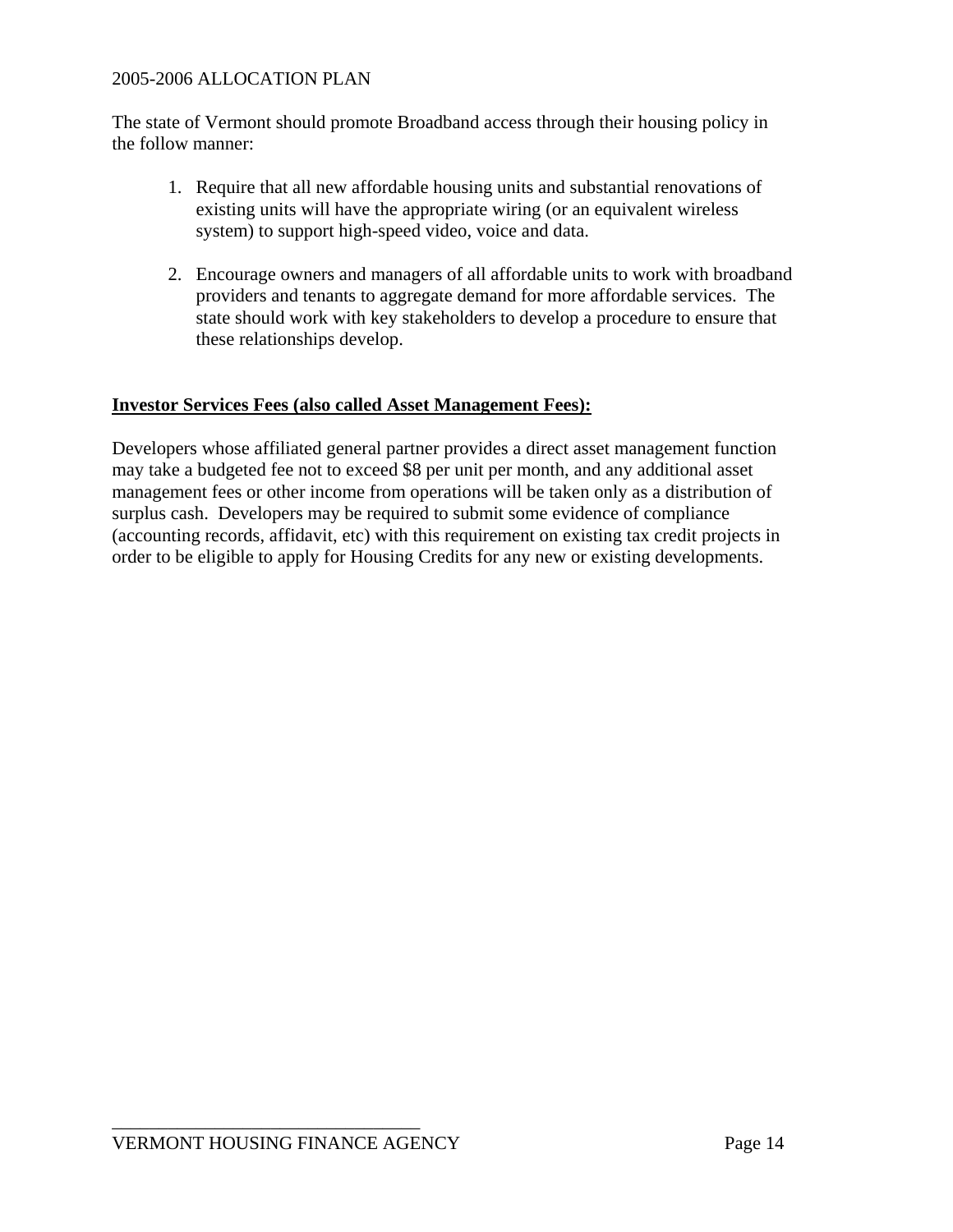The state of Vermont should promote Broadband access through their housing policy in the follow manner:

- 1. Require that all new affordable housing units and substantial renovations of existing units will have the appropriate wiring (or an equivalent wireless system) to support high-speed video, voice and data.
- 2. Encourage owners and managers of all affordable units to work with broadband providers and tenants to aggregate demand for more affordable services. The state should work with key stakeholders to develop a procedure to ensure that these relationships develop.

# **Investor Services Fees (also called Asset Management Fees):**

Developers whose affiliated general partner provides a direct asset management function may take a budgeted fee not to exceed \$8 per unit per month, and any additional asset management fees or other income from operations will be taken only as a distribution of surplus cash. Developers may be required to submit some evidence of compliance (accounting records, affidavit, etc) with this requirement on existing tax credit projects in order to be eligible to apply for Housing Credits for any new or existing developments.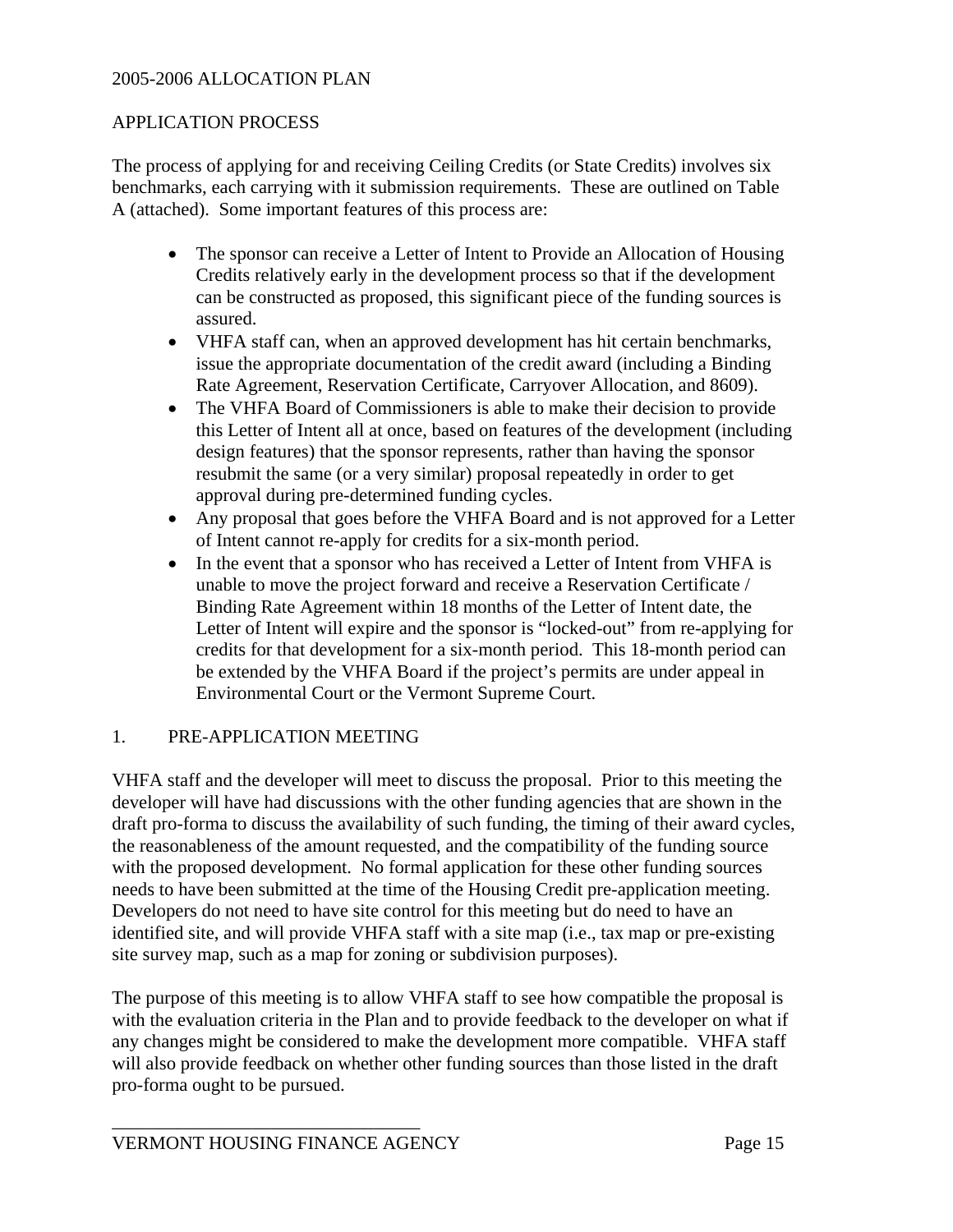#### APPLICATION PROCESS

The process of applying for and receiving Ceiling Credits (or State Credits) involves six benchmarks, each carrying with it submission requirements. These are outlined on Table A (attached). Some important features of this process are:

- The sponsor can receive a Letter of Intent to Provide an Allocation of Housing Credits relatively early in the development process so that if the development can be constructed as proposed, this significant piece of the funding sources is assured.
- VHFA staff can, when an approved development has hit certain benchmarks, issue the appropriate documentation of the credit award (including a Binding Rate Agreement, Reservation Certificate, Carryover Allocation, and 8609).
- The VHFA Board of Commissioners is able to make their decision to provide this Letter of Intent all at once, based on features of the development (including design features) that the sponsor represents, rather than having the sponsor resubmit the same (or a very similar) proposal repeatedly in order to get approval during pre-determined funding cycles.
- Any proposal that goes before the VHFA Board and is not approved for a Letter of Intent cannot re-apply for credits for a six-month period.
- In the event that a sponsor who has received a Letter of Intent from VHFA is unable to move the project forward and receive a Reservation Certificate / Binding Rate Agreement within 18 months of the Letter of Intent date, the Letter of Intent will expire and the sponsor is "locked-out" from re-applying for credits for that development for a six-month period. This 18-month period can be extended by the VHFA Board if the project's permits are under appeal in Environmental Court or the Vermont Supreme Court.

# 1. PRE-APPLICATION MEETING

VHFA staff and the developer will meet to discuss the proposal. Prior to this meeting the developer will have had discussions with the other funding agencies that are shown in the draft pro-forma to discuss the availability of such funding, the timing of their award cycles, the reasonableness of the amount requested, and the compatibility of the funding source with the proposed development. No formal application for these other funding sources needs to have been submitted at the time of the Housing Credit pre-application meeting. Developers do not need to have site control for this meeting but do need to have an identified site, and will provide VHFA staff with a site map (i.e., tax map or pre-existing site survey map, such as a map for zoning or subdivision purposes).

The purpose of this meeting is to allow VHFA staff to see how compatible the proposal is with the evaluation criteria in the Plan and to provide feedback to the developer on what if any changes might be considered to make the development more compatible. VHFA staff will also provide feedback on whether other funding sources than those listed in the draft pro-forma ought to be pursued.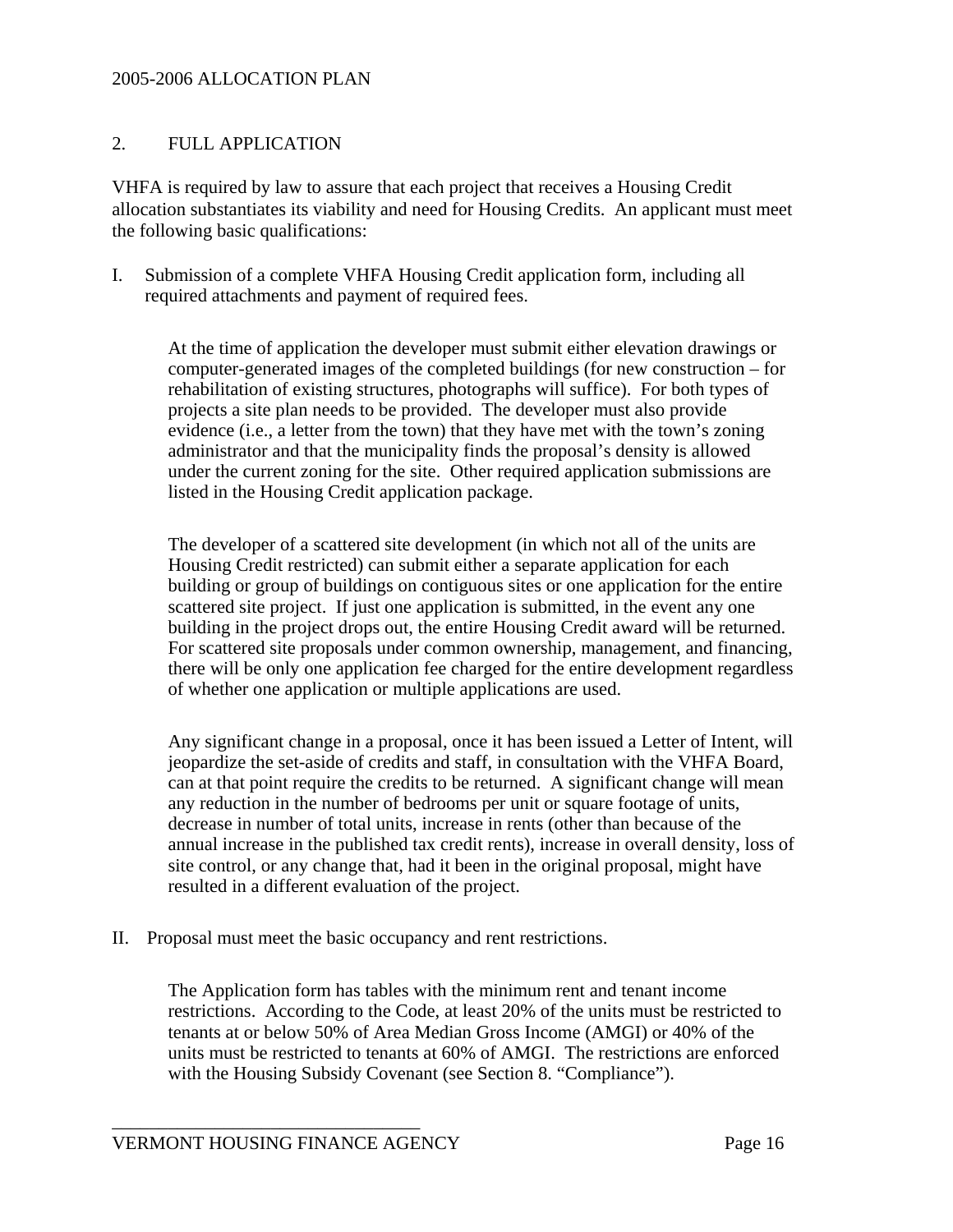#### 2. FULL APPLICATION

VHFA is required by law to assure that each project that receives a Housing Credit allocation substantiates its viability and need for Housing Credits. An applicant must meet the following basic qualifications:

I. Submission of a complete VHFA Housing Credit application form, including all required attachments and payment of required fees.

 At the time of application the developer must submit either elevation drawings or computer-generated images of the completed buildings (for new construction – for rehabilitation of existing structures, photographs will suffice). For both types of projects a site plan needs to be provided. The developer must also provide evidence (i.e., a letter from the town) that they have met with the town's zoning administrator and that the municipality finds the proposal's density is allowed under the current zoning for the site. Other required application submissions are listed in the Housing Credit application package.

 The developer of a scattered site development (in which not all of the units are Housing Credit restricted) can submit either a separate application for each building or group of buildings on contiguous sites or one application for the entire scattered site project. If just one application is submitted, in the event any one building in the project drops out, the entire Housing Credit award will be returned. For scattered site proposals under common ownership, management, and financing, there will be only one application fee charged for the entire development regardless of whether one application or multiple applications are used.

 Any significant change in a proposal, once it has been issued a Letter of Intent, will jeopardize the set-aside of credits and staff, in consultation with the VHFA Board, can at that point require the credits to be returned. A significant change will mean any reduction in the number of bedrooms per unit or square footage of units, decrease in number of total units, increase in rents (other than because of the annual increase in the published tax credit rents), increase in overall density, loss of site control, or any change that, had it been in the original proposal, might have resulted in a different evaluation of the project.

II. Proposal must meet the basic occupancy and rent restrictions.

 The Application form has tables with the minimum rent and tenant income restrictions. According to the Code, at least 20% of the units must be restricted to tenants at or below 50% of Area Median Gross Income (AMGI) or 40% of the units must be restricted to tenants at 60% of AMGI. The restrictions are enforced with the Housing Subsidy Covenant (see Section 8. "Compliance").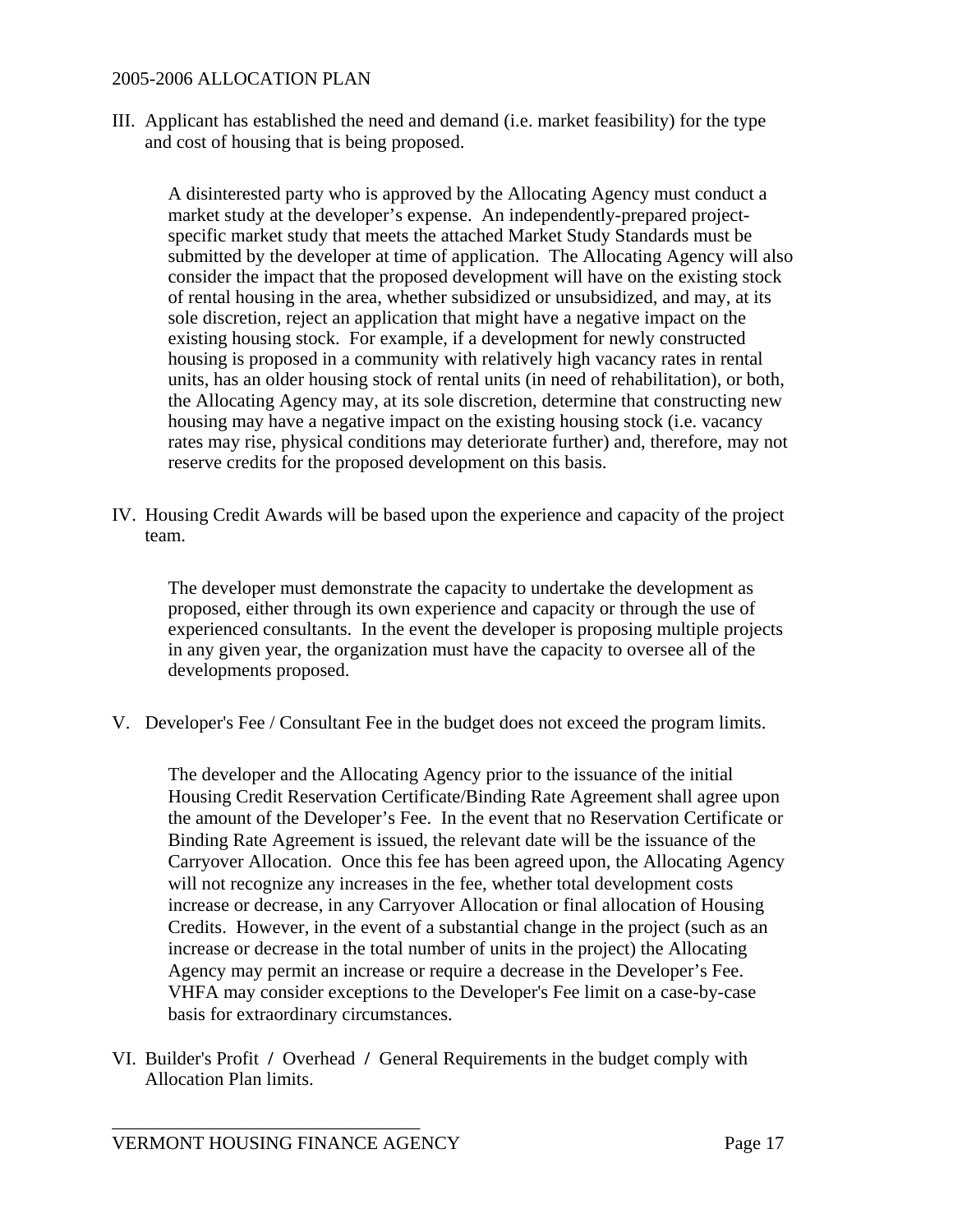III. Applicant has established the need and demand (i.e. market feasibility) for the type and cost of housing that is being proposed.

 A disinterested party who is approved by the Allocating Agency must conduct a market study at the developer's expense. An independently-prepared projectspecific market study that meets the attached Market Study Standards must be submitted by the developer at time of application. The Allocating Agency will also consider the impact that the proposed development will have on the existing stock of rental housing in the area, whether subsidized or unsubsidized, and may, at its sole discretion, reject an application that might have a negative impact on the existing housing stock. For example, if a development for newly constructed housing is proposed in a community with relatively high vacancy rates in rental units, has an older housing stock of rental units (in need of rehabilitation), or both, the Allocating Agency may, at its sole discretion, determine that constructing new housing may have a negative impact on the existing housing stock (i.e. vacancy rates may rise, physical conditions may deteriorate further) and, therefore, may not reserve credits for the proposed development on this basis.

IV. Housing Credit Awards will be based upon the experience and capacity of the project team.

 The developer must demonstrate the capacity to undertake the development as proposed, either through its own experience and capacity or through the use of experienced consultants. In the event the developer is proposing multiple projects in any given year, the organization must have the capacity to oversee all of the developments proposed.

V. Developer's Fee / Consultant Fee in the budget does not exceed the program limits.

 The developer and the Allocating Agency prior to the issuance of the initial Housing Credit Reservation Certificate/Binding Rate Agreement shall agree upon the amount of the Developer's Fee. In the event that no Reservation Certificate or Binding Rate Agreement is issued, the relevant date will be the issuance of the Carryover Allocation. Once this fee has been agreed upon, the Allocating Agency will not recognize any increases in the fee, whether total development costs increase or decrease, in any Carryover Allocation or final allocation of Housing Credits. However, in the event of a substantial change in the project (such as an increase or decrease in the total number of units in the project) the Allocating Agency may permit an increase or require a decrease in the Developer's Fee. VHFA may consider exceptions to the Developer's Fee limit on a case-by-case basis for extraordinary circumstances.

VI. Builder's Profit **/** Overhead **/** General Requirements in the budget comply with Allocation Plan limits.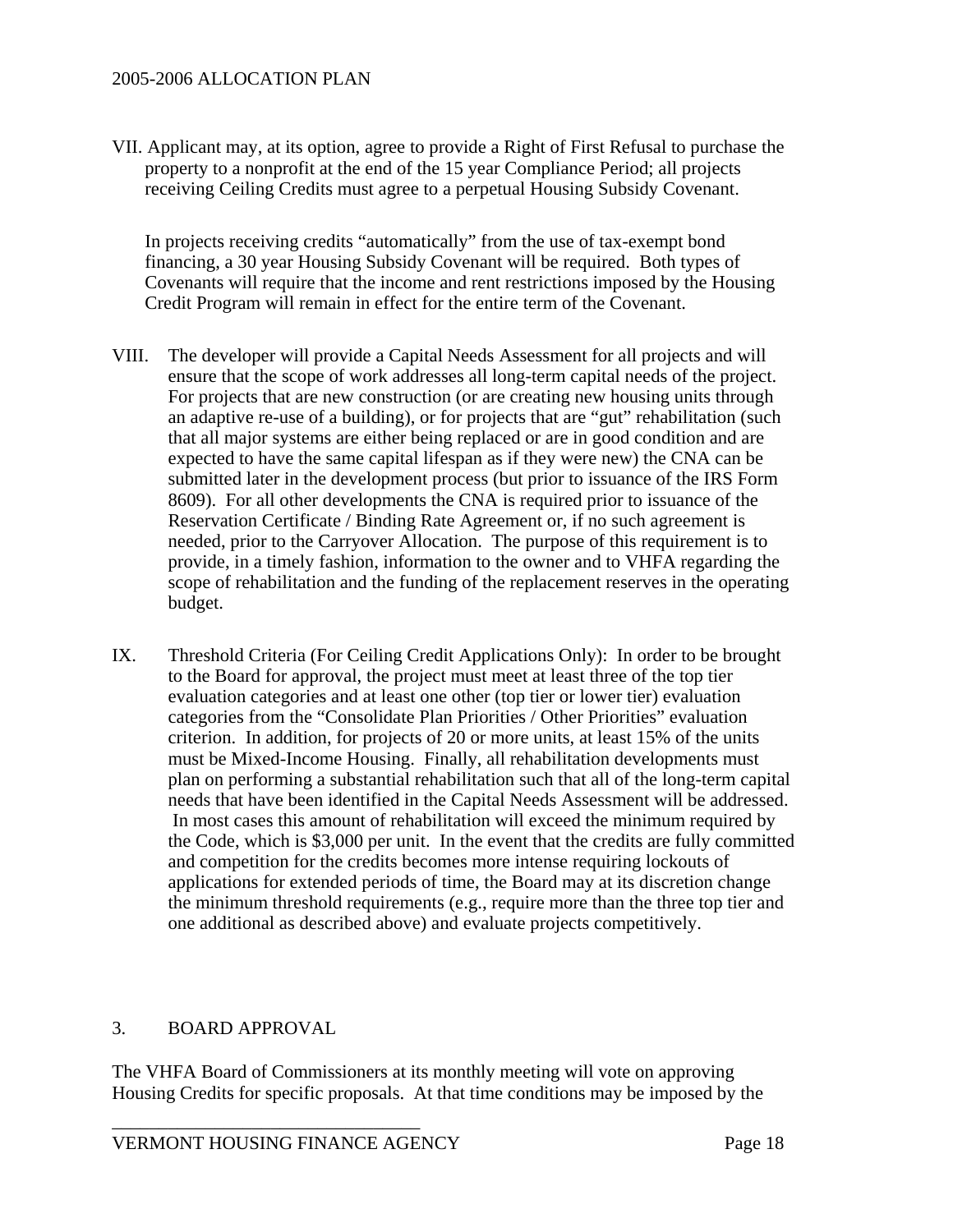VII. Applicant may, at its option, agree to provide a Right of First Refusal to purchase the property to a nonprofit at the end of the 15 year Compliance Period; all projects receiving Ceiling Credits must agree to a perpetual Housing Subsidy Covenant.

 In projects receiving credits "automatically" from the use of tax-exempt bond financing, a 30 year Housing Subsidy Covenant will be required. Both types of Covenants will require that the income and rent restrictions imposed by the Housing Credit Program will remain in effect for the entire term of the Covenant.

- VIII. The developer will provide a Capital Needs Assessment for all projects and will ensure that the scope of work addresses all long-term capital needs of the project. For projects that are new construction (or are creating new housing units through an adaptive re-use of a building), or for projects that are "gut" rehabilitation (such that all major systems are either being replaced or are in good condition and are expected to have the same capital lifespan as if they were new) the CNA can be submitted later in the development process (but prior to issuance of the IRS Form 8609). For all other developments the CNA is required prior to issuance of the Reservation Certificate / Binding Rate Agreement or, if no such agreement is needed, prior to the Carryover Allocation. The purpose of this requirement is to provide, in a timely fashion, information to the owner and to VHFA regarding the scope of rehabilitation and the funding of the replacement reserves in the operating budget.
- IX. Threshold Criteria (For Ceiling Credit Applications Only): In order to be brought to the Board for approval, the project must meet at least three of the top tier evaluation categories and at least one other (top tier or lower tier) evaluation categories from the "Consolidate Plan Priorities / Other Priorities" evaluation criterion. In addition, for projects of 20 or more units, at least 15% of the units must be Mixed-Income Housing. Finally, all rehabilitation developments must plan on performing a substantial rehabilitation such that all of the long-term capital needs that have been identified in the Capital Needs Assessment will be addressed. In most cases this amount of rehabilitation will exceed the minimum required by the Code, which is \$3,000 per unit. In the event that the credits are fully committed and competition for the credits becomes more intense requiring lockouts of applications for extended periods of time, the Board may at its discretion change the minimum threshold requirements (e.g., require more than the three top tier and one additional as described above) and evaluate projects competitively.

#### 3. BOARD APPROVAL

The VHFA Board of Commissioners at its monthly meeting will vote on approving Housing Credits for specific proposals. At that time conditions may be imposed by the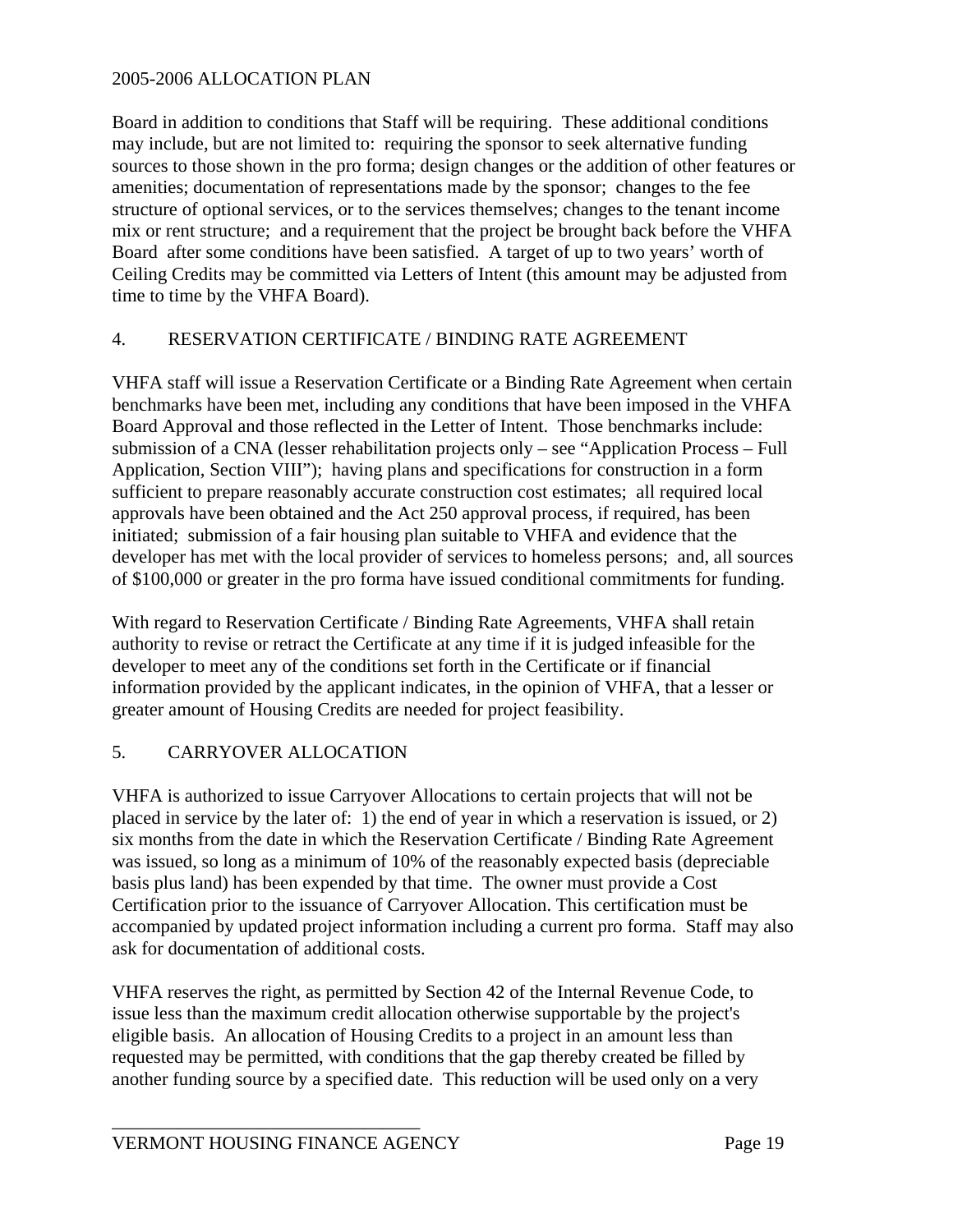Board in addition to conditions that Staff will be requiring. These additional conditions may include, but are not limited to: requiring the sponsor to seek alternative funding sources to those shown in the pro forma; design changes or the addition of other features or amenities; documentation of representations made by the sponsor; changes to the fee structure of optional services, or to the services themselves; changes to the tenant income mix or rent structure; and a requirement that the project be brought back before the VHFA Board after some conditions have been satisfied. A target of up to two years' worth of Ceiling Credits may be committed via Letters of Intent (this amount may be adjusted from time to time by the VHFA Board).

# 4. RESERVATION CERTIFICATE / BINDING RATE AGREEMENT

VHFA staff will issue a Reservation Certificate or a Binding Rate Agreement when certain benchmarks have been met, including any conditions that have been imposed in the VHFA Board Approval and those reflected in the Letter of Intent. Those benchmarks include: submission of a CNA (lesser rehabilitation projects only – see "Application Process – Full Application, Section VIII"); having plans and specifications for construction in a form sufficient to prepare reasonably accurate construction cost estimates; all required local approvals have been obtained and the Act 250 approval process, if required, has been initiated; submission of a fair housing plan suitable to VHFA and evidence that the developer has met with the local provider of services to homeless persons; and, all sources of \$100,000 or greater in the pro forma have issued conditional commitments for funding.

With regard to Reservation Certificate / Binding Rate Agreements, VHFA shall retain authority to revise or retract the Certificate at any time if it is judged infeasible for the developer to meet any of the conditions set forth in the Certificate or if financial information provided by the applicant indicates, in the opinion of VHFA, that a lesser or greater amount of Housing Credits are needed for project feasibility.

# 5. CARRYOVER ALLOCATION

VHFA is authorized to issue Carryover Allocations to certain projects that will not be placed in service by the later of: 1) the end of year in which a reservation is issued, or 2) six months from the date in which the Reservation Certificate / Binding Rate Agreement was issued, so long as a minimum of 10% of the reasonably expected basis (depreciable basis plus land) has been expended by that time. The owner must provide a Cost Certification prior to the issuance of Carryover Allocation. This certification must be accompanied by updated project information including a current pro forma. Staff may also ask for documentation of additional costs.

VHFA reserves the right, as permitted by Section 42 of the Internal Revenue Code, to issue less than the maximum credit allocation otherwise supportable by the project's eligible basis. An allocation of Housing Credits to a project in an amount less than requested may be permitted, with conditions that the gap thereby created be filled by another funding source by a specified date. This reduction will be used only on a very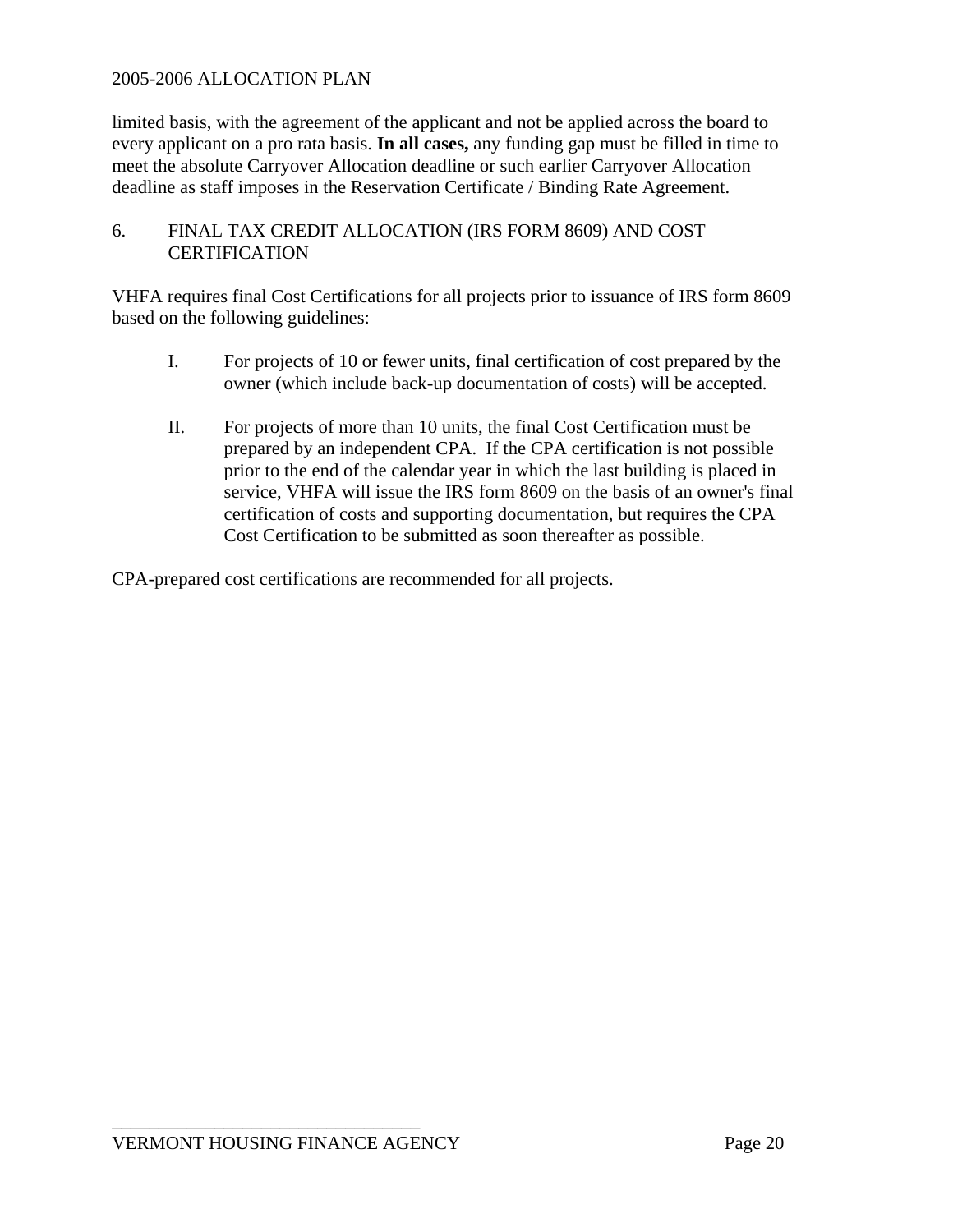limited basis, with the agreement of the applicant and not be applied across the board to every applicant on a pro rata basis. **In all cases,** any funding gap must be filled in time to meet the absolute Carryover Allocation deadline or such earlier Carryover Allocation deadline as staff imposes in the Reservation Certificate / Binding Rate Agreement.

# 6. FINAL TAX CREDIT ALLOCATION (IRS FORM 8609) AND COST **CERTIFICATION**

VHFA requires final Cost Certifications for all projects prior to issuance of IRS form 8609 based on the following guidelines:

- I. For projects of 10 or fewer units, final certification of cost prepared by the owner (which include back-up documentation of costs) will be accepted.
- II. For projects of more than 10 units, the final Cost Certification must be prepared by an independent CPA. If the CPA certification is not possible prior to the end of the calendar year in which the last building is placed in service, VHFA will issue the IRS form 8609 on the basis of an owner's final certification of costs and supporting documentation, but requires the CPA Cost Certification to be submitted as soon thereafter as possible.

CPA-prepared cost certifications are recommended for all projects.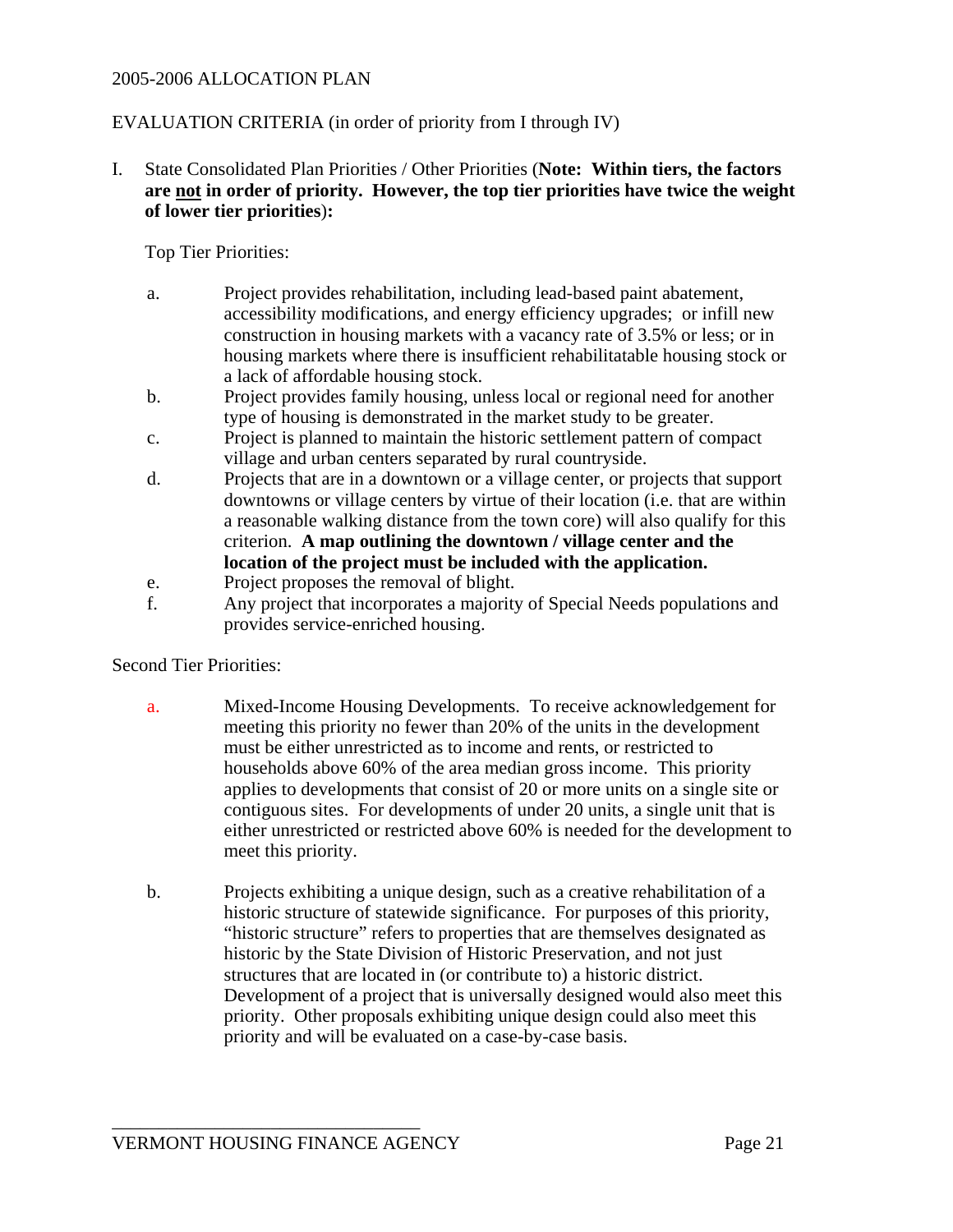### EVALUATION CRITERIA (in order of priority from I through IV)

I. State Consolidated Plan Priorities / Other Priorities (**Note: Within tiers, the factors are not in order of priority. However, the top tier priorities have twice the weight of lower tier priorities**)**:**

Top Tier Priorities:

- a. Project provides rehabilitation, including lead-based paint abatement, accessibility modifications, and energy efficiency upgrades; or infill new construction in housing markets with a vacancy rate of 3.5% or less; or in housing markets where there is insufficient rehabilitatable housing stock or a lack of affordable housing stock.
- b. Project provides family housing, unless local or regional need for another type of housing is demonstrated in the market study to be greater.
- c. Project is planned to maintain the historic settlement pattern of compact village and urban centers separated by rural countryside.
- d. Projects that are in a downtown or a village center, or projects that support downtowns or village centers by virtue of their location (i.e. that are within a reasonable walking distance from the town core) will also qualify for this criterion. **A map outlining the downtown / village center and the location of the project must be included with the application.**
- e. Project proposes the removal of blight.
- f. Any project that incorporates a majority of Special Needs populations and provides service-enriched housing.

#### Second Tier Priorities:

- a. Mixed-Income Housing Developments. To receive acknowledgement for meeting this priority no fewer than 20% of the units in the development must be either unrestricted as to income and rents, or restricted to households above 60% of the area median gross income. This priority applies to developments that consist of 20 or more units on a single site or contiguous sites. For developments of under 20 units, a single unit that is either unrestricted or restricted above 60% is needed for the development to meet this priority.
- b. Projects exhibiting a unique design, such as a creative rehabilitation of a historic structure of statewide significance. For purposes of this priority, "historic structure" refers to properties that are themselves designated as historic by the State Division of Historic Preservation, and not just structures that are located in (or contribute to) a historic district. Development of a project that is universally designed would also meet this priority. Other proposals exhibiting unique design could also meet this priority and will be evaluated on a case-by-case basis.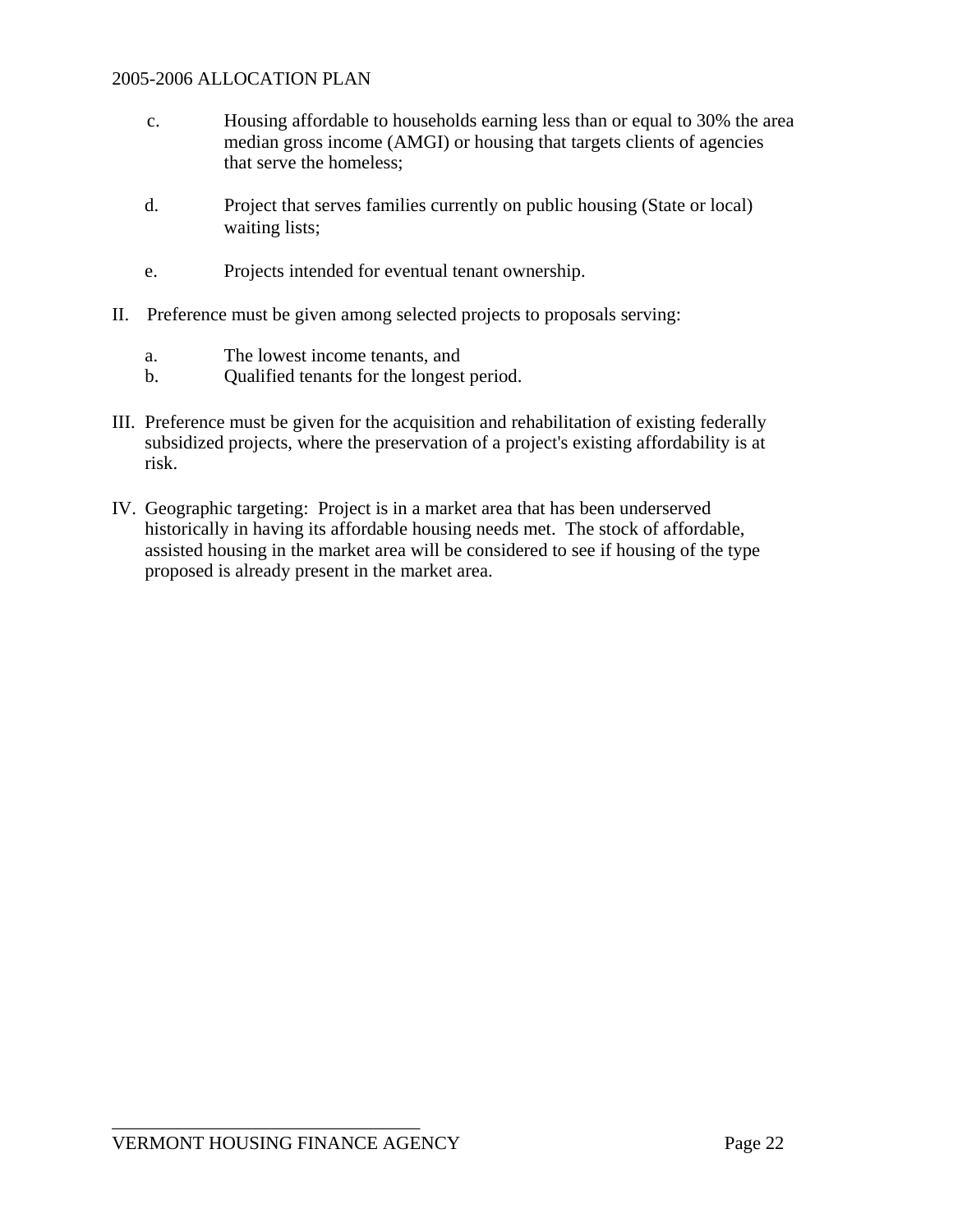- c. Housing affordable to households earning less than or equal to 30% the area median gross income (AMGI) or housing that targets clients of agencies that serve the homeless;
- d. Project that serves families currently on public housing (State or local) waiting lists;
- e. Projects intended for eventual tenant ownership.
- II. Preference must be given among selected projects to proposals serving:
	- a. The lowest income tenants, and
	- b. Qualified tenants for the longest period.
- III. Preference must be given for the acquisition and rehabilitation of existing federally subsidized projects, where the preservation of a project's existing affordability is at risk.
- IV. Geographic targeting: Project is in a market area that has been underserved historically in having its affordable housing needs met. The stock of affordable, assisted housing in the market area will be considered to see if housing of the type proposed is already present in the market area.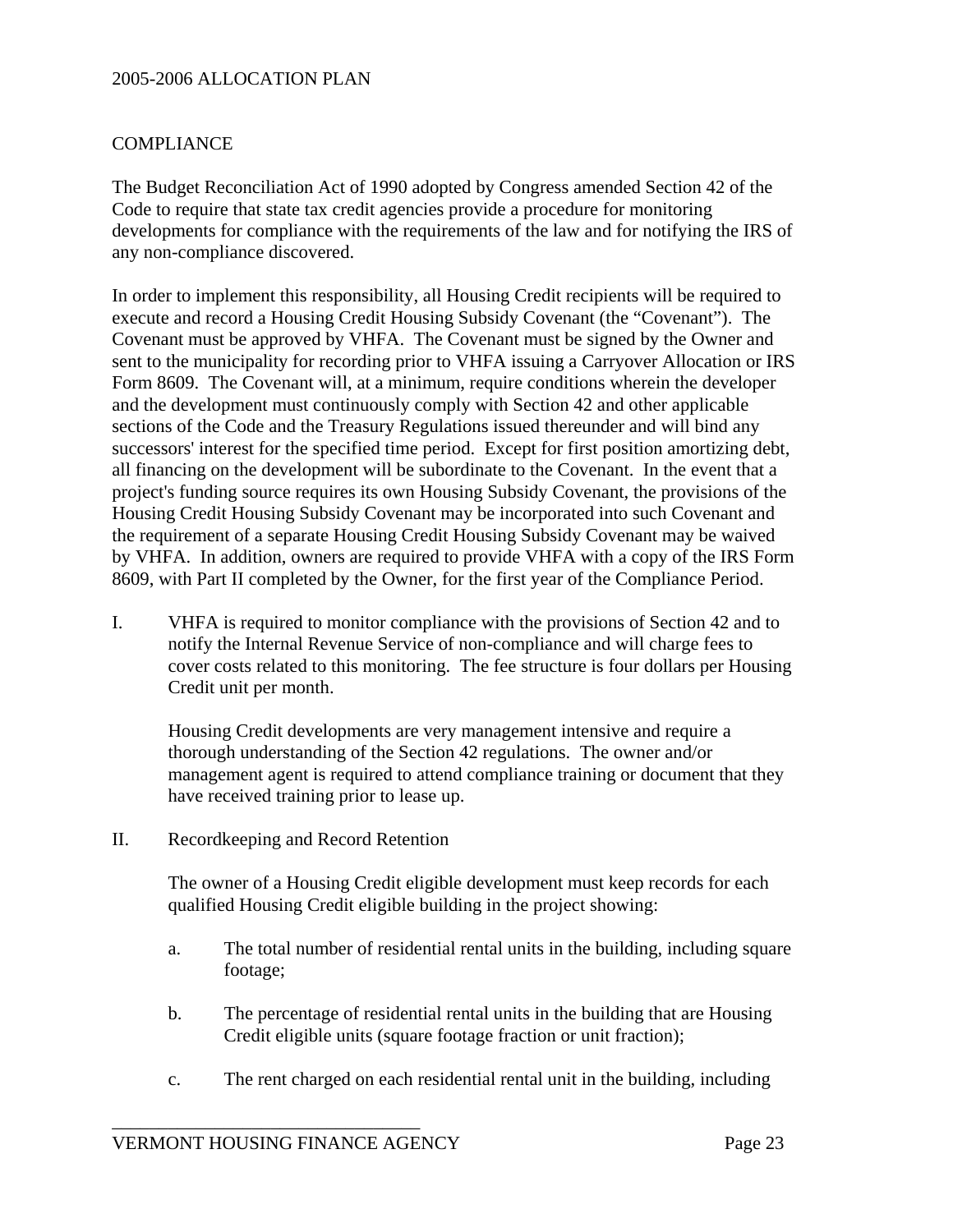#### **COMPLIANCE**

The Budget Reconciliation Act of 1990 adopted by Congress amended Section 42 of the Code to require that state tax credit agencies provide a procedure for monitoring developments for compliance with the requirements of the law and for notifying the IRS of any non-compliance discovered.

In order to implement this responsibility, all Housing Credit recipients will be required to execute and record a Housing Credit Housing Subsidy Covenant (the "Covenant"). The Covenant must be approved by VHFA. The Covenant must be signed by the Owner and sent to the municipality for recording prior to VHFA issuing a Carryover Allocation or IRS Form 8609. The Covenant will, at a minimum, require conditions wherein the developer and the development must continuously comply with Section 42 and other applicable sections of the Code and the Treasury Regulations issued thereunder and will bind any successors' interest for the specified time period. Except for first position amortizing debt, all financing on the development will be subordinate to the Covenant. In the event that a project's funding source requires its own Housing Subsidy Covenant, the provisions of the Housing Credit Housing Subsidy Covenant may be incorporated into such Covenant and the requirement of a separate Housing Credit Housing Subsidy Covenant may be waived by VHFA. In addition, owners are required to provide VHFA with a copy of the IRS Form 8609, with Part II completed by the Owner, for the first year of the Compliance Period.

I. VHFA is required to monitor compliance with the provisions of Section 42 and to notify the Internal Revenue Service of non-compliance and will charge fees to cover costs related to this monitoring. The fee structure is four dollars per Housing Credit unit per month.

 Housing Credit developments are very management intensive and require a thorough understanding of the Section 42 regulations. The owner and/or management agent is required to attend compliance training or document that they have received training prior to lease up.

II. Recordkeeping and Record Retention

 The owner of a Housing Credit eligible development must keep records for each qualified Housing Credit eligible building in the project showing:

- a. The total number of residential rental units in the building, including square footage;
- b. The percentage of residential rental units in the building that are Housing Credit eligible units (square footage fraction or unit fraction);
- c. The rent charged on each residential rental unit in the building, including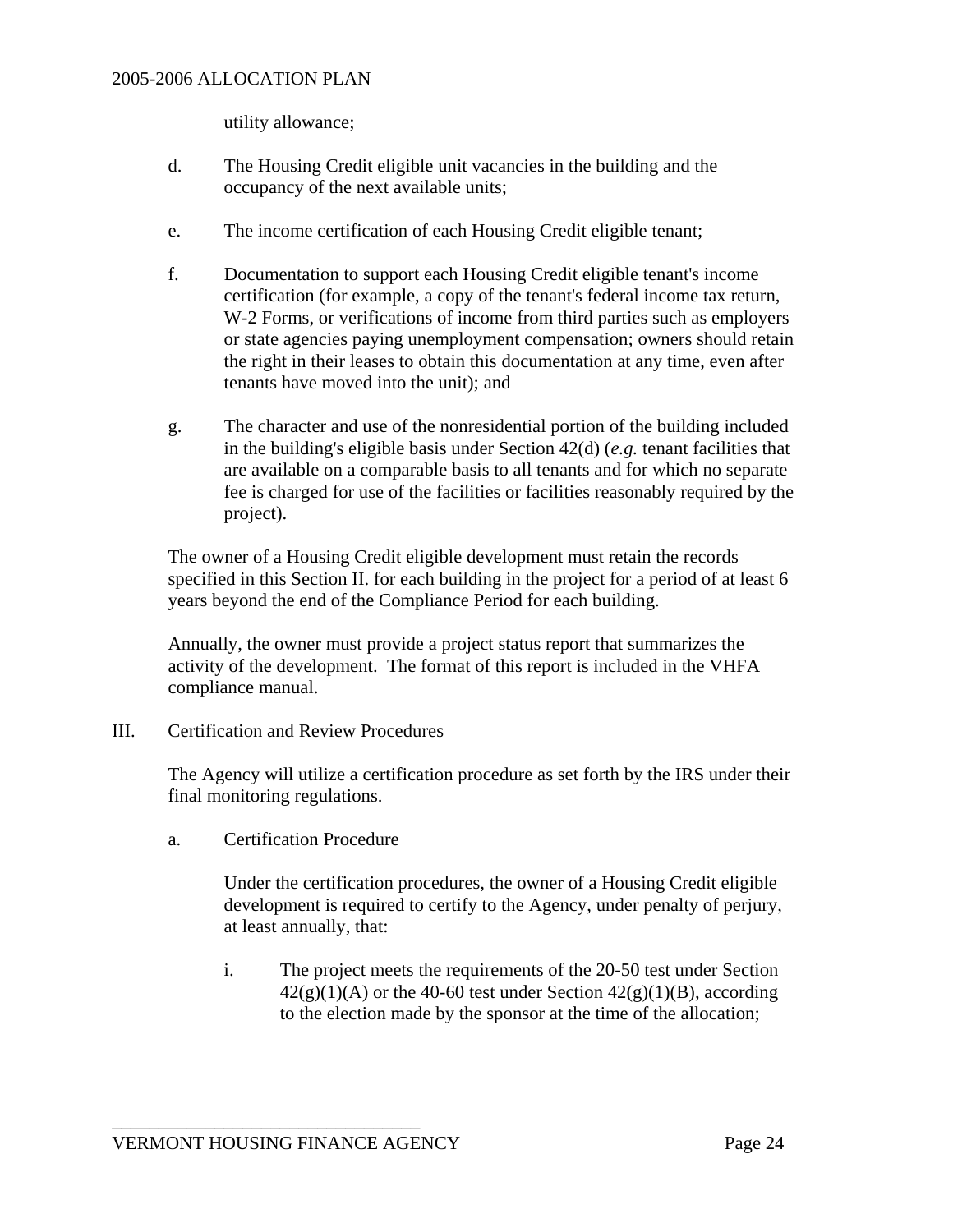utility allowance;

- d. The Housing Credit eligible unit vacancies in the building and the occupancy of the next available units;
- e. The income certification of each Housing Credit eligible tenant;
- f. Documentation to support each Housing Credit eligible tenant's income certification (for example, a copy of the tenant's federal income tax return, W-2 Forms, or verifications of income from third parties such as employers or state agencies paying unemployment compensation; owners should retain the right in their leases to obtain this documentation at any time, even after tenants have moved into the unit); and
- g. The character and use of the nonresidential portion of the building included in the building's eligible basis under Section 42(d) (*e.g.* tenant facilities that are available on a comparable basis to all tenants and for which no separate fee is charged for use of the facilities or facilities reasonably required by the project).

 The owner of a Housing Credit eligible development must retain the records specified in this Section II. for each building in the project for a period of at least 6 years beyond the end of the Compliance Period for each building.

 Annually, the owner must provide a project status report that summarizes the activity of the development. The format of this report is included in the VHFA compliance manual.

III. Certification and Review Procedures

 The Agency will utilize a certification procedure as set forth by the IRS under their final monitoring regulations.

a. Certification Procedure

 Under the certification procedures, the owner of a Housing Credit eligible development is required to certify to the Agency, under penalty of perjury, at least annually, that:

 i. The project meets the requirements of the 20-50 test under Section  $42(g)(1)(A)$  or the 40-60 test under Section  $42(g)(1)(B)$ , according to the election made by the sponsor at the time of the allocation;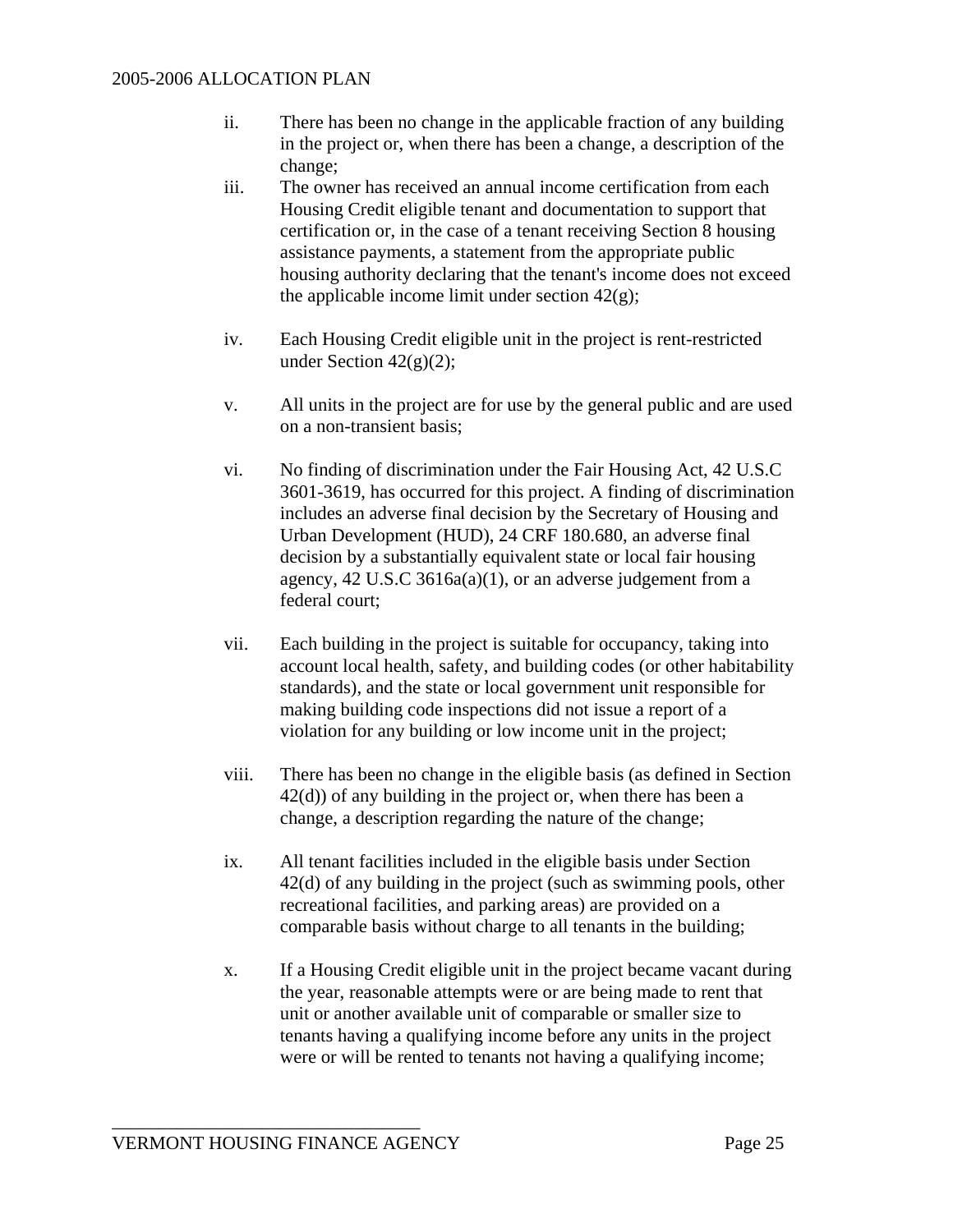- ii. There has been no change in the applicable fraction of any building in the project or, when there has been a change, a description of the change;
- iii. The owner has received an annual income certification from each Housing Credit eligible tenant and documentation to support that certification or, in the case of a tenant receiving Section 8 housing assistance payments, a statement from the appropriate public housing authority declaring that the tenant's income does not exceed the applicable income limit under section  $42(g)$ ;
- iv. Each Housing Credit eligible unit in the project is rent-restricted under Section  $42(g)(2)$ ;
- v. All units in the project are for use by the general public and are used on a non-transient basis;
- vi. No finding of discrimination under the Fair Housing Act, 42 U.S.C 3601-3619, has occurred for this project. A finding of discrimination includes an adverse final decision by the Secretary of Housing and Urban Development (HUD), 24 CRF 180.680, an adverse final decision by a substantially equivalent state or local fair housing agency, 42 U.S.C 3616a(a)(1), or an adverse judgement from a federal court;
- vii. Each building in the project is suitable for occupancy, taking into account local health, safety, and building codes (or other habitability standards), and the state or local government unit responsible for making building code inspections did not issue a report of a violation for any building or low income unit in the project;
- viii. There has been no change in the eligible basis (as defined in Section 42(d)) of any building in the project or, when there has been a change, a description regarding the nature of the change;
- ix. All tenant facilities included in the eligible basis under Section 42(d) of any building in the project (such as swimming pools, other recreational facilities, and parking areas) are provided on a comparable basis without charge to all tenants in the building;
- x. If a Housing Credit eligible unit in the project became vacant during the year, reasonable attempts were or are being made to rent that unit or another available unit of comparable or smaller size to tenants having a qualifying income before any units in the project were or will be rented to tenants not having a qualifying income;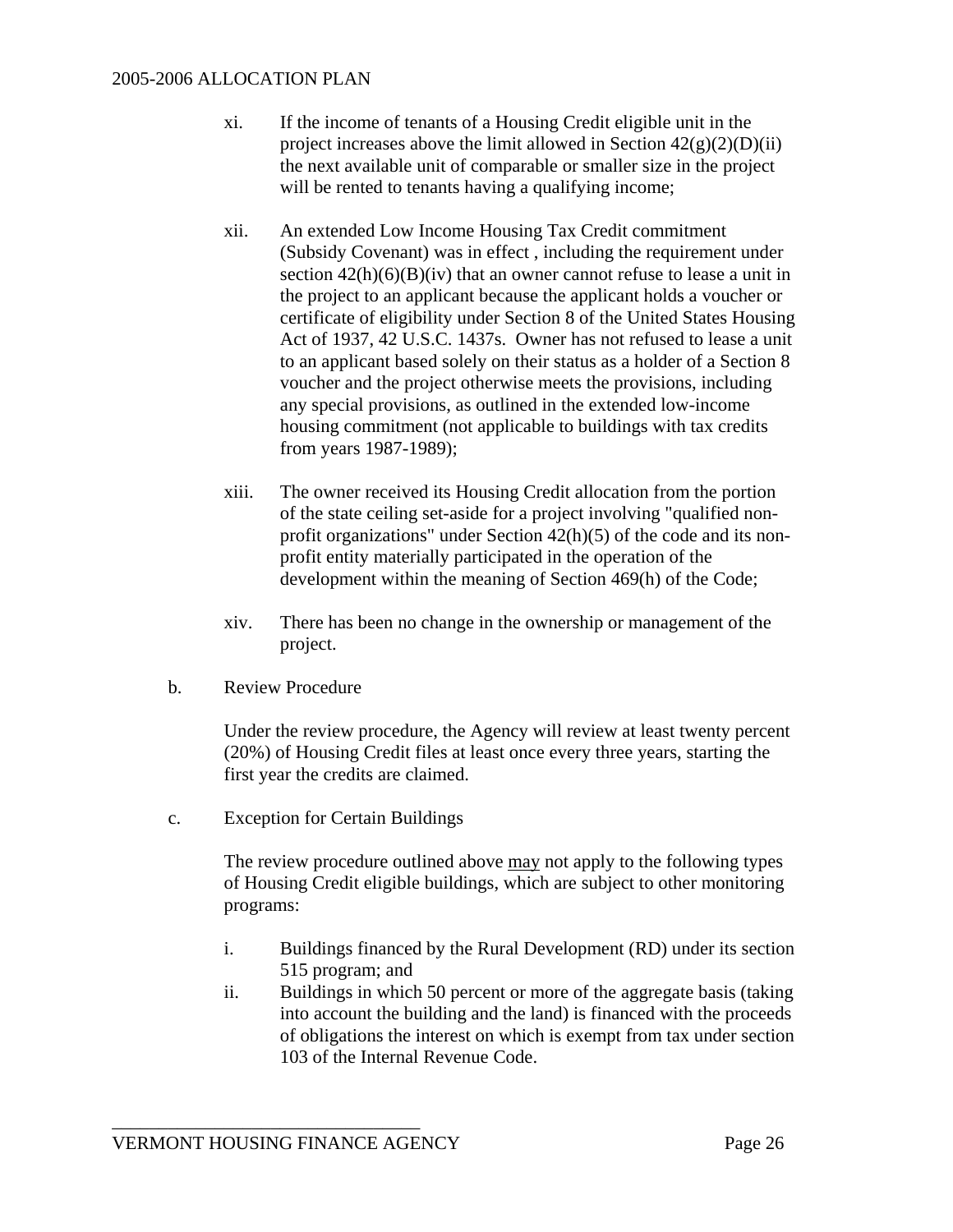- xi. If the income of tenants of a Housing Credit eligible unit in the project increases above the limit allowed in Section  $42(g)(2)(D)(ii)$ the next available unit of comparable or smaller size in the project will be rented to tenants having a qualifying income;
- xii. An extended Low Income Housing Tax Credit commitment (Subsidy Covenant) was in effect , including the requirement under section  $42(h)(6)(B)(iv)$  that an owner cannot refuse to lease a unit in the project to an applicant because the applicant holds a voucher or certificate of eligibility under Section 8 of the United States Housing Act of 1937, 42 U.S.C. 1437s. Owner has not refused to lease a unit to an applicant based solely on their status as a holder of a Section 8 voucher and the project otherwise meets the provisions, including any special provisions, as outlined in the extended low-income housing commitment (not applicable to buildings with tax credits from years 1987-1989);
- xiii. The owner received its Housing Credit allocation from the portion of the state ceiling set-aside for a project involving "qualified nonprofit organizations" under Section 42(h)(5) of the code and its nonprofit entity materially participated in the operation of the development within the meaning of Section 469(h) of the Code;
- xiv. There has been no change in the ownership or management of the project.
- b. Review Procedure

 Under the review procedure, the Agency will review at least twenty percent (20%) of Housing Credit files at least once every three years, starting the first year the credits are claimed.

c. Exception for Certain Buildings

 The review procedure outlined above may not apply to the following types of Housing Credit eligible buildings, which are subject to other monitoring programs:

- i. Buildings financed by the Rural Development (RD) under its section 515 program; and
- ii. Buildings in which 50 percent or more of the aggregate basis (taking into account the building and the land) is financed with the proceeds of obligations the interest on which is exempt from tax under section 103 of the Internal Revenue Code.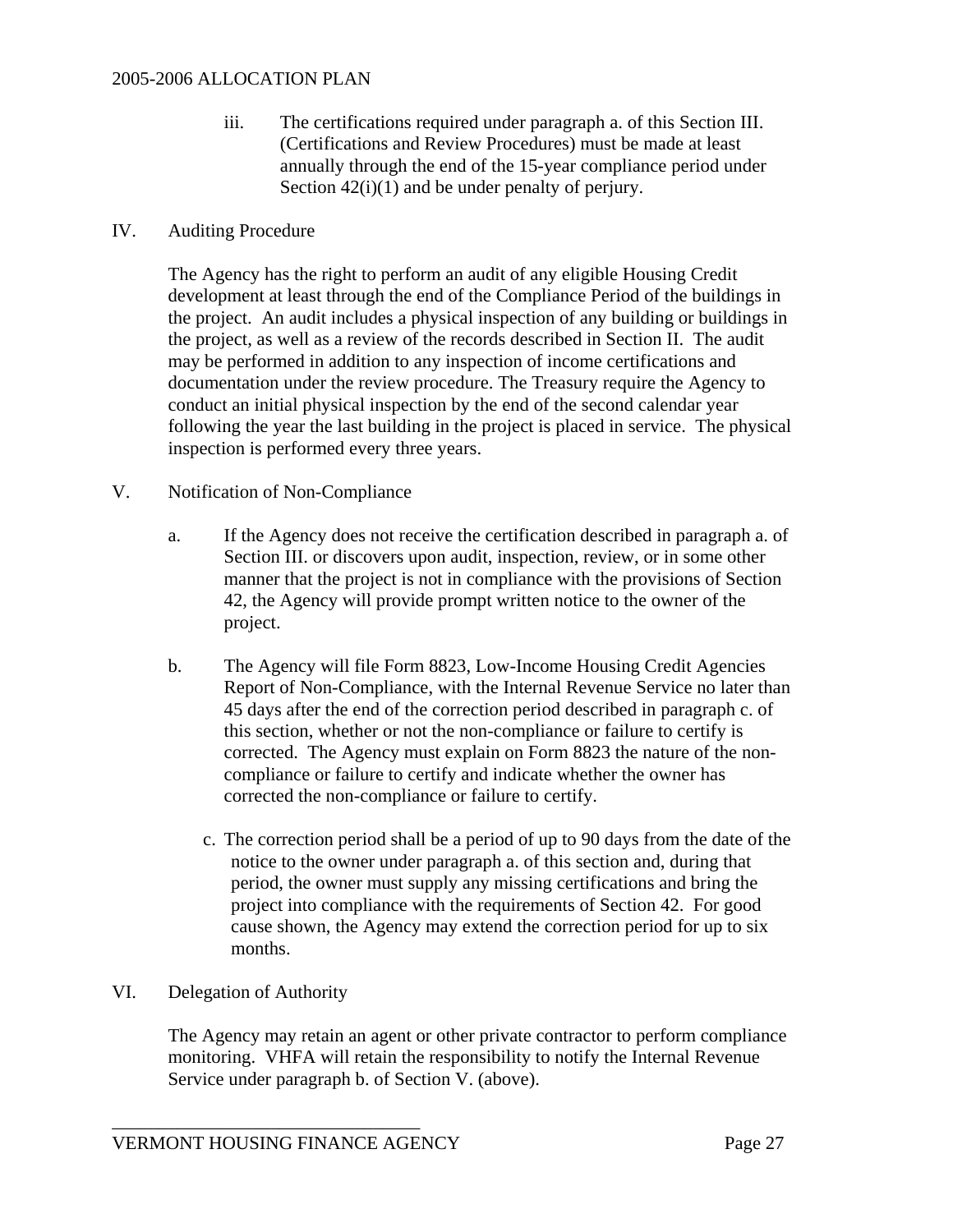iii. The certifications required under paragraph a. of this Section III. (Certifications and Review Procedures) must be made at least annually through the end of the 15-year compliance period under Section  $42(i)(1)$  and be under penalty of perjury.

#### IV. Auditing Procedure

 The Agency has the right to perform an audit of any eligible Housing Credit development at least through the end of the Compliance Period of the buildings in the project. An audit includes a physical inspection of any building or buildings in the project, as well as a review of the records described in Section II. The audit may be performed in addition to any inspection of income certifications and documentation under the review procedure. The Treasury require the Agency to conduct an initial physical inspection by the end of the second calendar year following the year the last building in the project is placed in service. The physical inspection is performed every three years.

#### V. Notification of Non-Compliance

- a. If the Agency does not receive the certification described in paragraph a. of Section III. or discovers upon audit, inspection, review, or in some other manner that the project is not in compliance with the provisions of Section 42, the Agency will provide prompt written notice to the owner of the project.
- b. The Agency will file Form 8823, Low-Income Housing Credit Agencies Report of Non-Compliance, with the Internal Revenue Service no later than 45 days after the end of the correction period described in paragraph c. of this section, whether or not the non-compliance or failure to certify is corrected. The Agency must explain on Form 8823 the nature of the noncompliance or failure to certify and indicate whether the owner has corrected the non-compliance or failure to certify.
	- c. The correction period shall be a period of up to 90 days from the date of the notice to the owner under paragraph a. of this section and, during that period, the owner must supply any missing certifications and bring the project into compliance with the requirements of Section 42. For good cause shown, the Agency may extend the correction period for up to six months.

# VI. Delegation of Authority

 The Agency may retain an agent or other private contractor to perform compliance monitoring. VHFA will retain the responsibility to notify the Internal Revenue Service under paragraph b. of Section V. (above).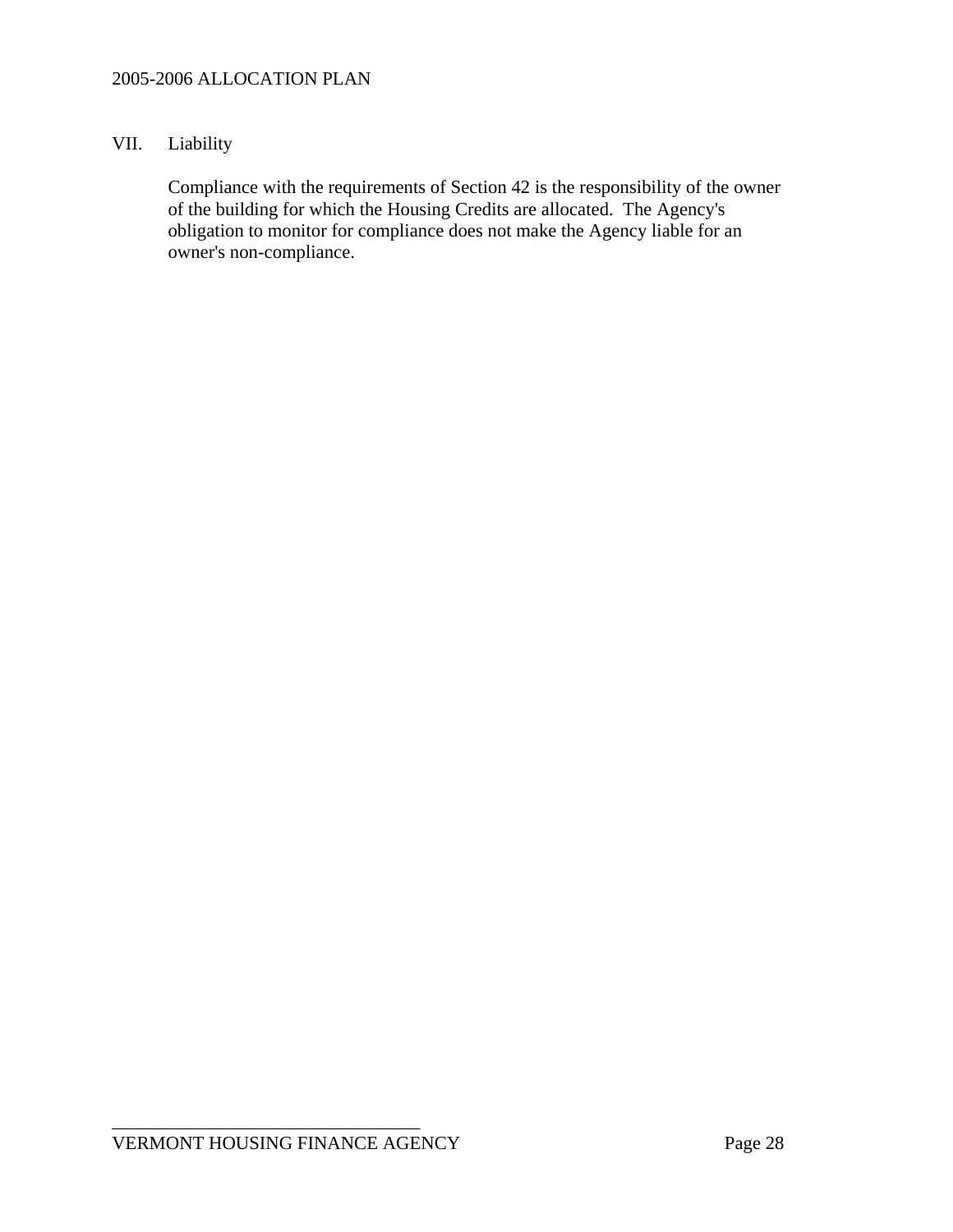#### VII. Liability

 Compliance with the requirements of Section 42 is the responsibility of the owner of the building for which the Housing Credits are allocated. The Agency's obligation to monitor for compliance does not make the Agency liable for an owner's non-compliance.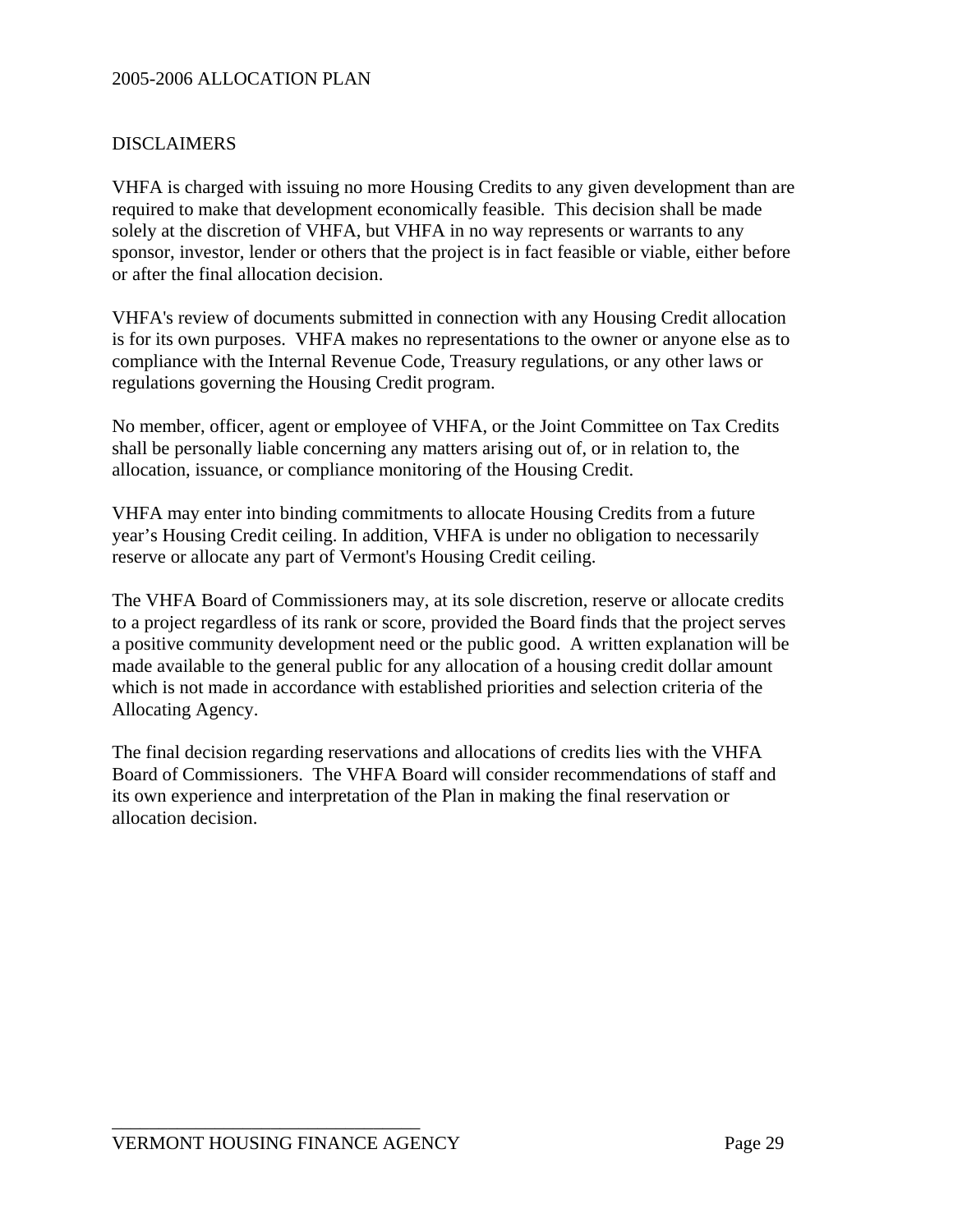#### DISCLAIMERS

VHFA is charged with issuing no more Housing Credits to any given development than are required to make that development economically feasible. This decision shall be made solely at the discretion of VHFA, but VHFA in no way represents or warrants to any sponsor, investor, lender or others that the project is in fact feasible or viable, either before or after the final allocation decision.

VHFA's review of documents submitted in connection with any Housing Credit allocation is for its own purposes. VHFA makes no representations to the owner or anyone else as to compliance with the Internal Revenue Code, Treasury regulations, or any other laws or regulations governing the Housing Credit program.

No member, officer, agent or employee of VHFA, or the Joint Committee on Tax Credits shall be personally liable concerning any matters arising out of, or in relation to, the allocation, issuance, or compliance monitoring of the Housing Credit.

VHFA may enter into binding commitments to allocate Housing Credits from a future year's Housing Credit ceiling. In addition, VHFA is under no obligation to necessarily reserve or allocate any part of Vermont's Housing Credit ceiling.

The VHFA Board of Commissioners may, at its sole discretion, reserve or allocate credits to a project regardless of its rank or score, provided the Board finds that the project serves a positive community development need or the public good. A written explanation will be made available to the general public for any allocation of a housing credit dollar amount which is not made in accordance with established priorities and selection criteria of the Allocating Agency.

The final decision regarding reservations and allocations of credits lies with the VHFA Board of Commissioners. The VHFA Board will consider recommendations of staff and its own experience and interpretation of the Plan in making the final reservation or allocation decision.